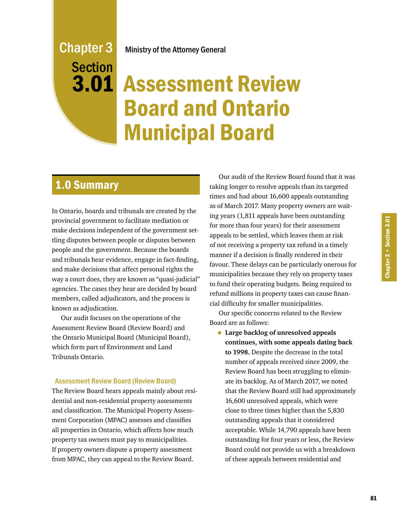## Ministry of the Attorney General

# Chapter 3 Section

# 3.01 Assessment Review Board and Ontario Municipal Board

# 1.0 Summary

In Ontario, boards and tribunals are created by the provincial government to facilitate mediation or make decisions independent of the government settling disputes between people or disputes between people and the government. Because the boards and tribunals hear evidence, engage in fact-finding, and make decisions that affect personal rights the way a court does, they are known as "quasi-judicial" agencies. The cases they hear are decided by board members, called adjudicators, and the process is known as adjudication.

Our audit focuses on the operations of the Assessment Review Board (Review Board) and the Ontario Municipal Board (Municipal Board), which form part of Environment and Land Tribunals Ontario.

#### Assessment Review Board (Review Board)

The Review Board hears appeals mainly about residential and non-residential property assessments and classification. The Municipal Property Assessment Corporation (MPAC) assesses and classifies all properties in Ontario, which affects how much property tax owners must pay to municipalities. If property owners dispute a property assessment from MPAC, they can appeal to the Review Board.

Our audit of the Review Board found that it was taking longer to resolve appeals than its targeted times and had about 16,600 appeals outstanding as of March 2017. Many property owners are waiting years (1,811 appeals have been outstanding for more than four years) for their assessment appeals to be settled, which leaves them at risk of not receiving a property tax refund in a timely manner if a decision is finally rendered in their favour. These delays can be particularly onerous for municipalities because they rely on property taxes to fund their operating budgets. Being required to refund millions in property taxes can cause financial difficulty for smaller municipalities.

Our specific concerns related to the Review Board are as follows:

• **Large backlog of unresolved appeals continues, with some appeals dating back to 1998.** Despite the decrease in the total number of appeals received since 2009, the Review Board has been struggling to eliminate its backlog. As of March 2017, we noted that the Review Board still had approximately 16,600 unresolved appeals, which were close to three times higher than the 5,830 outstanding appeals that it considered acceptable. While 14,790 appeals have been outstanding for four years or less, the Review Board could not provide us with a breakdown of these appeals between residential and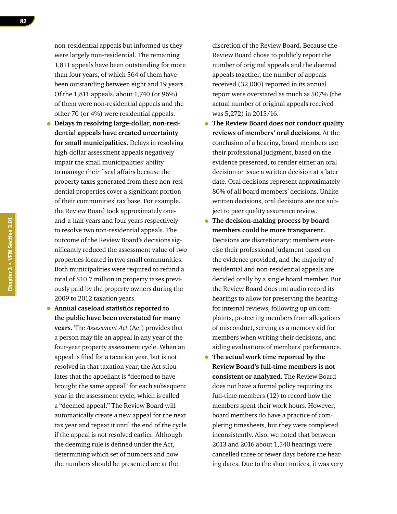non-residential appeals but informed us they were largely non-residential. The remaining 1,811 appeals have been outstanding for more than four years, of which 564 of them have been outstanding between eight and 19 years. Of the 1,811 appeals, about 1,740 (or 96%) of them were non-residential appeals and the other 70 (or 4%) were residential appeals.

- **Delays in resolving large-dollar, non-residential appeals have created uncertainty for small municipalities.** Delays in resolving high-dollar assessment appeals negatively impair the small municipalities' ability to manage their fiscal affairs because the property taxes generated from these non-residential properties cover a significant portion of their communities' tax base. For example, the Review Board took approximately oneand-a-half years and four years respectively to resolve two non-residential appeals. The outcome of the Review Board's decisions significantly reduced the assessment value of two properties located in two small communities. Both municipalities were required to refund a total of \$10.7 million in property taxes previously paid by the property owners during the 2009 to 2012 taxation years.
- **Annual caseload statistics reported to the public have been overstated for many years.** The *Assessment Act* (Act) provides that a person may file an appeal in any year of the four-year property assessment cycle. When an appeal is filed for a taxation year, but is not resolved in that taxation year, the Act stipulates that the appellant is "deemed to have brought the same appeal" for each subsequent year in the assessment cycle, which is called a "deemed appeal." The Review Board will automatically create a new appeal for the next tax year and repeat it until the end of the cycle if the appeal is not resolved earlier. Although the deeming rule is defined under the Act, determining which set of numbers and how the numbers should be presented are at the

discretion of the Review Board. Because the Review Board chose to publicly report the number of original appeals and the deemed appeals together, the number of appeals received (32,000) reported in its annual report were overstated as much as 507% (the actual number of original appeals received was 5,272) in 2015/16.

- **The Review Board does not conduct quality reviews of members' oral decisions.** At the conclusion of a hearing, board members use their professional judgment, based on the evidence presented, to render either an oral decision or issue a written decision at a later date. Oral decisions represent approximately 80% of all board members' decisions. Unlike written decisions, oral decisions are not subject to peer quality assurance review.
- **The decision-making process by board members could be more transparent.**  Decisions are discretionary: members exercise their professional judgment based on the evidence provided, and the majority of residential and non-residential appeals are decided orally by a single board member. But the Review Board does not audio record its hearings to allow for preserving the hearing for internal reviews, following up on complaints, protecting members from allegations of misconduct, serving as a memory aid for members when writing their decisions, and aiding evaluations of members' performance.
- **The actual work time reported by the Review Board's full-time members is not consistent or analyzed.** The Review Board does not have a formal policy requiring its full-time members (12) to record how the members spent their work hours. However, board members do have a practice of completing timesheets, but they were completed inconsistently. Also, we noted that between 2013 and 2016 about 1,540 hearings were cancelled three or fewer days before the hearing dates. Due to the short notices, it was very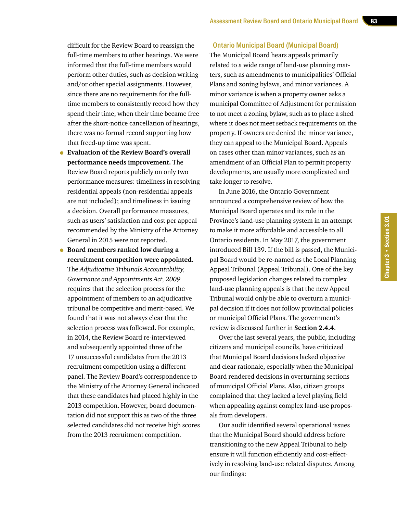difficult for the Review Board to reassign the full-time members to other hearings. We were informed that the full-time members would perform other duties, such as decision writing and/or other special assignments. However, since there are no requirements for the fulltime members to consistently record how they spend their time, when their time became free after the short-notice cancellation of hearings, there was no formal record supporting how that freed-up time was spent.

- **Evaluation of the Review Board's overall performance needs improvement.** The Review Board reports publicly on only two performance measures: timeliness in resolving residential appeals (non-residential appeals are not included); and timeliness in issuing a decision. Overall performance measures, such as users' satisfaction and cost per appeal recommended by the Ministry of the Attorney General in 2015 were not reported.
- **Board members ranked low during a recruitment competition were appointed.**  The *Adjudicative Tribunals Accountability, Governance and Appointments Act, 2009* requires that the selection process for the appointment of members to an adjudicative tribunal be competitive and merit-based. We found that it was not always clear that the selection process was followed. For example, in 2014, the Review Board re-interviewed and subsequently appointed three of the 17 unsuccessful candidates from the 2013 recruitment competition using a different panel. The Review Board's correspondence to the Ministry of the Attorney General indicated that these candidates had placed highly in the 2013 competition. However, board documentation did not support this as two of the three selected candidates did not receive high scores from the 2013 recruitment competition.

#### Ontario Municipal Board (Municipal Board)

The Municipal Board hears appeals primarily related to a wide range of land-use planning matters, such as amendments to municipalities' Official Plans and zoning bylaws, and minor variances. A minor variance is when a property owner asks a municipal Committee of Adjustment for permission to not meet a zoning bylaw, such as to place a shed where it does not meet setback requirements on the property. If owners are denied the minor variance, they can appeal to the Municipal Board. Appeals on cases other than minor variances, such as an amendment of an Official Plan to permit property developments, are usually more complicated and take longer to resolve.

In June 2016, the Ontario Government announced a comprehensive review of how the Municipal Board operates and its role in the Province's land-use planning system in an attempt to make it more affordable and accessible to all Ontario residents. In May 2017, the government introduced Bill 139. If the bill is passed, the Municipal Board would be re-named as the Local Planning Appeal Tribunal (Appeal Tribunal). One of the key proposed legislation changes related to complex land-use planning appeals is that the new Appeal Tribunal would only be able to overturn a municipal decision if it does not follow provincial policies or municipal Official Plans. The government's review is discussed further in **Section 2.4.4**.

Over the last several years, the public, including citizens and municipal councils, have criticized that Municipal Board decisions lacked objective and clear rationale, especially when the Municipal Board rendered decisions in overturning sections of municipal Official Plans. Also, citizen groups complained that they lacked a level playing field when appealing against complex land-use proposals from developers.

Our audit identified several operational issues that the Municipal Board should address before transitioning to the new Appeal Tribunal to help ensure it will function efficiently and cost-effectively in resolving land-use related disputes. Among our findings: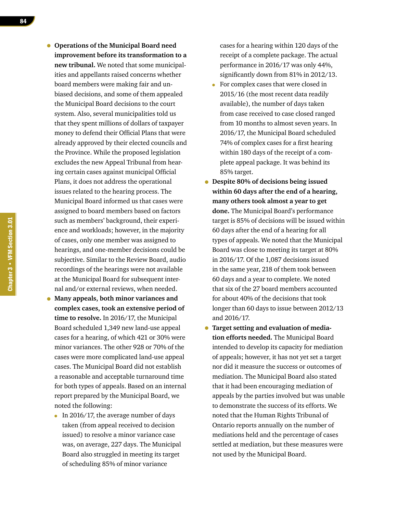- **Operations of the Municipal Board need improvement before its transformation to a new tribunal.** We noted that some municipalities and appellants raised concerns whether board members were making fair and unbiased decisions, and some of them appealed the Municipal Board decisions to the court system. Also, several municipalities told us that they spent millions of dollars of taxpayer money to defend their Official Plans that were already approved by their elected councils and the Province. While the proposed legislation excludes the new Appeal Tribunal from hearing certain cases against municipal Official Plans, it does not address the operational issues related to the hearing process. The Municipal Board informed us that cases were assigned to board members based on factors such as members' background, their experience and workloads; however, in the majority of cases, only one member was assigned to hearings, and one-member decisions could be subjective. Similar to the Review Board, audio recordings of the hearings were not available at the Municipal Board for subsequent internal and/or external reviews, when needed. • **Many appeals, both minor variances and** 
	- **complex cases, took an extensive period of time to resolve.** In 2016/17, the Municipal Board scheduled 1,349 new land-use appeal cases for a hearing, of which 421 or 30% were minor variances. The other 928 or 70% of the cases were more complicated land-use appeal cases. The Municipal Board did not establish a reasonable and acceptable turnaround time for both types of appeals. Based on an internal report prepared by the Municipal Board, we noted the following:
	- In 2016/17, the average number of days taken (from appeal received to decision issued) to resolve a minor variance case was, on average, 227 days. The Municipal Board also struggled in meeting its target of scheduling 85% of minor variance

cases for a hearing within 120 days of the receipt of a complete package. The actual performance in 2016/17 was only 44%, significantly down from 81% in 2012/13.

- For complex cases that were closed in 2015/16 (the most recent data readily available), the number of days taken from case received to case closed ranged from 10 months to almost seven years. In 2016/17, the Municipal Board scheduled 74% of complex cases for a first hearing within 180 days of the receipt of a complete appeal package. It was behind its 85% target.
- **Despite 80% of decisions being issued within 60 days after the end of a hearing, many others took almost a year to get done.** The Municipal Board's performance target is 85% of decisions will be issued within 60 days after the end of a hearing for all types of appeals. We noted that the Municipal Board was close to meeting its target at 80% in 2016/17. Of the 1,087 decisions issued in the same year, 218 of them took between 60 days and a year to complete. We noted that six of the 27 board members accounted for about 40% of the decisions that took longer than 60 days to issue between 2012/13 and 2016/17.
- **Target setting and evaluation of mediation efforts needed.** The Municipal Board intended to develop its capacity for mediation of appeals; however, it has not yet set a target nor did it measure the success or outcomes of mediation. The Municipal Board also stated that it had been encouraging mediation of appeals by the parties involved but was unable to demonstrate the success of its efforts. We noted that the Human Rights Tribunal of Ontario reports annually on the number of mediations held and the percentage of cases settled at mediation, but these measures were not used by the Municipal Board.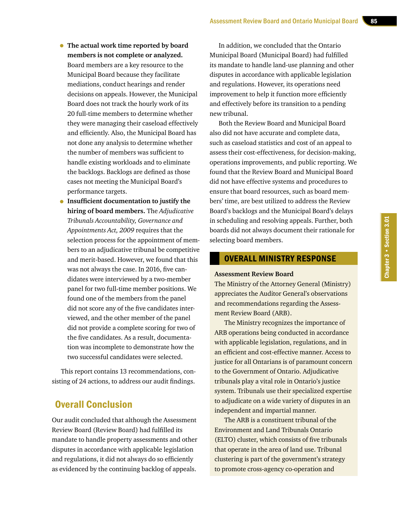- **The actual work time reported by board members is not complete or analyzed.**  Board members are a key resource to the Municipal Board because they facilitate mediations, conduct hearings and render decisions on appeals. However, the Municipal Board does not track the hourly work of its 20 full-time members to determine whether they were managing their caseload effectively and efficiently. Also, the Municipal Board has not done any analysis to determine whether the number of members was sufficient to handle existing workloads and to eliminate the backlogs. Backlogs are defined as those cases not meeting the Municipal Board's performance targets.
- **Insufficient documentation to justify the hiring of board members.** The *Adjudicative Tribunals Accountability, Governance and Appointments Act, 2009* requires that the selection process for the appointment of members to an adjudicative tribunal be competitive and merit-based. However, we found that this was not always the case. In 2016, five candidates were interviewed by a two-member panel for two full-time member positions. We found one of the members from the panel did not score any of the five candidates interviewed, and the other member of the panel did not provide a complete scoring for two of the five candidates. As a result, documentation was incomplete to demonstrate how the two successful candidates were selected.

This report contains 13 recommendations, consisting of 24 actions, to address our audit findings.

# Overall Conclusion

Our audit concluded that although the Assessment Review Board (Review Board) had fulfilled its mandate to handle property assessments and other disputes in accordance with applicable legislation and regulations, it did not always do so efficiently as evidenced by the continuing backlog of appeals.

In addition, we concluded that the Ontario Municipal Board (Municipal Board) had fulfilled its mandate to handle land-use planning and other disputes in accordance with applicable legislation and regulations. However, its operations need improvement to help it function more efficiently and effectively before its transition to a pending new tribunal.

Both the Review Board and Municipal Board also did not have accurate and complete data, such as caseload statistics and cost of an appeal to assess their cost-effectiveness, for decision-making, operations improvements, and public reporting. We found that the Review Board and Municipal Board did not have effective systems and procedures to ensure that board resources, such as board members' time, are best utilized to address the Review Board's backlogs and the Municipal Board's delays in scheduling and resolving appeals. Further, both boards did not always document their rationale for selecting board members.

#### OVERALL MINISTRY RESPONSE

#### **Assessment Review Board**

The Ministry of the Attorney General (Ministry) appreciates the Auditor General's observations and recommendations regarding the Assessment Review Board (ARB).

The Ministry recognizes the importance of ARB operations being conducted in accordance with applicable legislation, regulations, and in an efficient and cost-effective manner. Access to justice for all Ontarians is of paramount concern to the Government of Ontario. Adjudicative tribunals play a vital role in Ontario's justice system. Tribunals use their specialized expertise to adjudicate on a wide variety of disputes in an independent and impartial manner.

The ARB is a constituent tribunal of the Environment and Land Tribunals Ontario (ELTO) cluster, which consists of five tribunals that operate in the area of land use. Tribunal clustering is part of the government's strategy to promote cross-agency co-operation and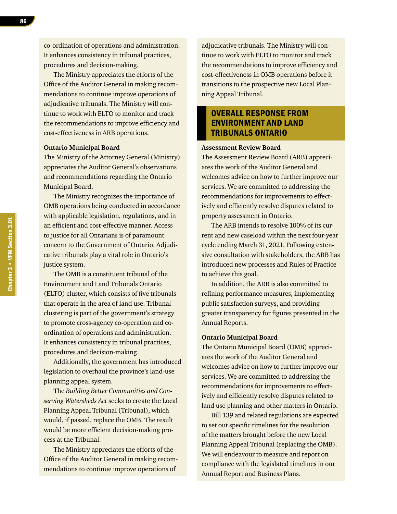co-ordination of operations and administration. It enhances consistency in tribunal practices, procedures and decision-making.

The Ministry appreciates the efforts of the Office of the Auditor General in making recommendations to continue improve operations of adjudicative tribunals. The Ministry will continue to work with ELTO to monitor and track the recommendations to improve efficiency and cost-effectiveness in ARB operations.

#### **Ontario Municipal Board**

The Ministry of the Attorney General (Ministry) appreciates the Auditor General's observations and recommendations regarding the Ontario Municipal Board.

The Ministry recognizes the importance of OMB operations being conducted in accordance with applicable legislation, regulations, and in an efficient and cost-effective manner. Access to justice for all Ontarians is of paramount concern to the Government of Ontario. Adjudicative tribunals play a vital role in Ontario's justice system.

The OMB is a constituent tribunal of the Environment and Land Tribunals Ontario (ELTO) cluster, which consists of five tribunals that operate in the area of land use. Tribunal clustering is part of the government's strategy to promote cross-agency co-operation and coordination of operations and administration. It enhances consistency in tribunal practices, procedures and decision-making.

Additionally, the government has introduced legislation to overhaul the province's land-use planning appeal system.

The *Building Better Communities and Conserving Watersheds Act* seeks to create the Local Planning Appeal Tribunal (Tribunal), which would, if passed, replace the OMB. The result would be more efficient decision-making process at the Tribunal.

The Ministry appreciates the efforts of the Office of the Auditor General in making recommendations to continue improve operations of

adjudicative tribunals. The Ministry will continue to work with ELTO to monitor and track the recommendations to improve efficiency and cost-effectiveness in OMB operations before it transitions to the prospective new Local Planning Appeal Tribunal.

#### OVERALL RESPONSE FROM ENVIRONMENT AND LAND TRIBUNALS ONTARIO

#### **Assessment Review Board**

The Assessment Review Board (ARB) appreciates the work of the Auditor General and welcomes advice on how to further improve our services. We are committed to addressing the recommendations for improvements to effectively and efficiently resolve disputes related to property assessment in Ontario.

The ARB intends to resolve 100% of its current and new caseload within the next four-year cycle ending March 31, 2021. Following extensive consultation with stakeholders, the ARB has introduced new processes and Rules of Practice to achieve this goal.

In addition, the ARB is also committed to refining performance measures, implementing public satisfaction surveys, and providing greater transparency for figures presented in the Annual Reports.

#### **Ontario Municipal Board**

The Ontario Municipal Board (OMB) appreciates the work of the Auditor General and welcomes advice on how to further improve our services. We are committed to addressing the recommendations for improvements to effectively and efficiently resolve disputes related to land use planning and other matters in Ontario.

Bill 139 and related regulations are expected to set out specific timelines for the resolution of the matters brought before the new Local Planning Appeal Tribunal (replacing the OMB). We will endeavour to measure and report on compliance with the legislated timelines in our Annual Report and Business Plans.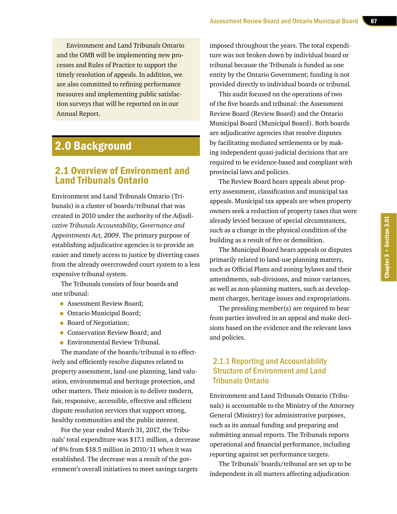Environment and Land Tribunals Ontario and the OMB will be implementing new processes and Rules of Practice to support the timely resolution of appeals. In addition, we are also committed to refining performance measures and implementing public satisfaction surveys that will be reported on in our Annual Report.

# 2.0 Background

# 2.1 Overview of Environment and Land Tribunals Ontario

Environment and Land Tribunals Ontario (Tribunals) is a cluster of boards/tribunal that was created in 2010 under the authority of the *Adjudicative Tribunals Accountability, Governance and Appointments Act, 2009*. The primary purpose of establishing adjudicative agencies is to provide an easier and timely access to justice by diverting cases from the already overcrowded court system to a less expensive tribunal system.

The Tribunals consists of four boards and one tribunal:

- Assessment Review Board;
- Ontario Municipal Board;
- Board of Negotiation;
- Conservation Review Board; and
- Environmental Review Tribunal.

The mandate of the boards/tribunal is to effectively and efficiently resolve disputes related to property assessment, land-use planning, land valuation, environmental and heritage protection, and other matters. Their mission is to deliver modern, fair, responsive, accessible, effective and efficient dispute resolution services that support strong, healthy communities and the public interest.

For the year ended March 31, 2017, the Tribunals' total expenditure was \$17.1 million, a decrease of 8% from \$18.5 million in 2010/11 when it was established. The decrease was a result of the government's overall initiatives to meet savings targets

imposed throughout the years. The total expenditure was not broken down by individual board or tribunal because the Tribunals is funded as one entity by the Ontario Government; funding is not provided directly to individual boards or tribunal.

This audit focused on the operations of two of the five boards and tribunal: the Assessment Review Board (Review Board) and the Ontario Municipal Board (Municipal Board). Both boards are adjudicative agencies that resolve disputes by facilitating mediated settlements or by making independent quasi-judicial decisions that are required to be evidence-based and compliant with provincial laws and policies.

The Review Board hears appeals about property assessment, classification and municipal tax appeals. Municipal tax appeals are when property owners seek a reduction of property taxes that were already levied because of special circumstances, such as a change in the physical condition of the building as a result of fire or demolition.

The Municipal Board hears appeals or disputes primarily related to land-use planning matters, such as Official Plans and zoning bylaws and their amendments, sub-divisions, and minor variances, as well as non-planning matters, such as development charges, heritage issues and expropriations.

The presiding member(s) are required to hear from parties involved in an appeal and make decisions based on the evidence and the relevant laws and policies.

## 2.1.1 Reporting and Accountability Structure of Environment and Land Tribunals Ontario

Environment and Land Tribunals Ontario (Tribunals) is accountable to the Ministry of the Attorney General (Ministry) for administrative purposes, such as its annual funding and preparing and submitting annual reports. The Tribunals reports operational and financial performance, including reporting against set performance targets.

The Tribunals' boards/tribunal are set up to be independent in all matters affecting adjudication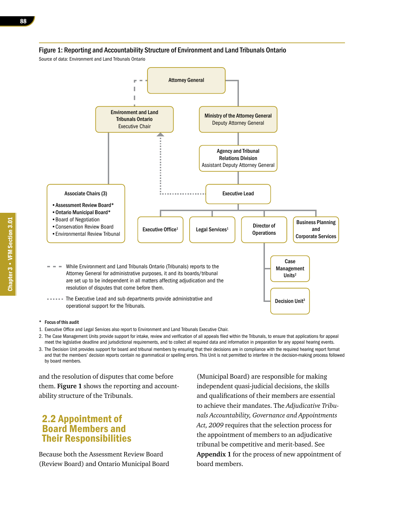

#### Figure 1: Reporting and Accountability Structure of Environment and Land Tribunals Ontario

While Environment and Land Tribunals Ontario (Tribunals) reports to the Attorney General for administrative purposes, it and its boards/tribunal are set up to be independent in all matters affecting adjudication and the resolution of disputes that come before them.

Executive Office<sup>1</sup>

...... The Executive Lead and sub departments provide administrative and operational support for the Tribunals.

#### \* Focus of this audit

•Assessment Review Board\* •Ontario Municipal Board\* •Board of Negotiation •Conservation Review Board •Environmental Review Tribunal

Associate Chairs (3)

- 1. Executive Office and Legal Services also report to Environment and Land Tribunals Executive Chair.
- 2. The Case Management Units provide support for intake, review and verification of all appeals filed within the Tribunals, to ensure that applications for appeal meet the legislative deadline and jurisdictional requirements, and to collect all required data and information in preparation for any appeal hearing events.

Legal Services<sup>1</sup> | Director of

Executive Lead

**Operations** 

Case Management Units<sup>2</sup>

Decision Unit<sup>3</sup>

Business Planning and Corporate Services

3. The Decision Unit provides support for board and tribunal members by ensuring that their decisions are in compliance with the required hearing report format and that the members' decision reports contain no grammatical or spelling errors. This Unit is not permitted to interfere in the decision-making process followed by board members.

and the resolution of disputes that come before them. **Figure 1** shows the reporting and accountability structure of the Tribunals.

# 2.2 Appointment of Board Members and Their Responsibilities

Because both the Assessment Review Board (Review Board) and Ontario Municipal Board

(Municipal Board) are responsible for making independent quasi-judicial decisions, the skills and qualifications of their members are essential to achieve their mandates. The *Adjudicative Tribunals Accountability, Governance and Appointments Act, 2009* requires that the selection process for the appointment of members to an adjudicative tribunal be competitive and merit-based. See **Appendix 1** for the process of new appointment of board members.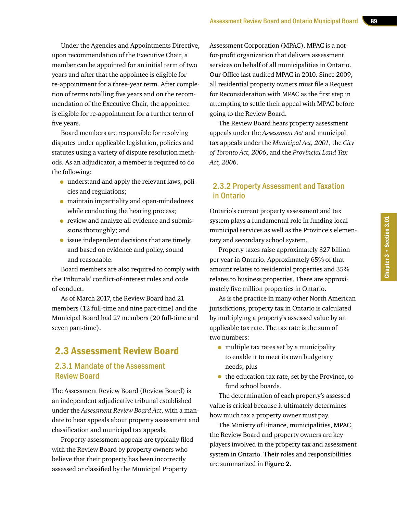Under the Agencies and Appointments Directive, upon recommendation of the Executive Chair, a member can be appointed for an initial term of two years and after that the appointee is eligible for re-appointment for a three-year term. After completion of terms totalling five years and on the recommendation of the Executive Chair, the appointee is eligible for re-appointment for a further term of five years.

Board members are responsible for resolving disputes under applicable legislation, policies and statutes using a variety of dispute resolution methods. As an adjudicator, a member is required to do the following:

- understand and apply the relevant laws, policies and regulations;
- maintain impartiality and open-mindedness while conducting the hearing process;
- review and analyze all evidence and submissions thoroughly; and
- issue independent decisions that are timely and based on evidence and policy, sound and reasonable.

Board members are also required to comply with the Tribunals' conflict-of-interest rules and code of conduct.

As of March 2017, the Review Board had 21 members (12 full-time and nine part-time) and the Municipal Board had 27 members (20 full-time and seven part-time).

# 2.3 Assessment Review Board

#### 2.3.1 Mandate of the Assessment Review Board

The Assessment Review Board (Review Board) is an independent adjudicative tribunal established under the *Assessment Review Board Act*, with a mandate to hear appeals about property assessment and classification and municipal tax appeals.

Property assessment appeals are typically filed with the Review Board by property owners who believe that their property has been incorrectly assessed or classified by the Municipal Property

Assessment Corporation (MPAC). MPAC is a notfor-profit organization that delivers assessment services on behalf of all municipalities in Ontario. Our Office last audited MPAC in 2010. Since 2009, all residential property owners must file a Request for Reconsideration with MPAC as the first step in attempting to settle their appeal with MPAC before going to the Review Board.

The Review Board hears property assessment appeals under the *Assessment Act* and municipal tax appeals under the *Municipal Act, 2001*, the *City of Toronto Act, 2006*, and the *Provincial Land Tax Act, 2006*.

#### 2.3.2 Property Assessment and Taxation in Ontario

Ontario's current property assessment and tax system plays a fundamental role in funding local municipal services as well as the Province's elementary and secondary school system.

Property taxes raise approximately \$27 billion per year in Ontario. Approximately 65% of that amount relates to residential properties and 35% relates to business properties. There are approximately five million properties in Ontario.

As is the practice in many other North American jurisdictions, property tax in Ontario is calculated by multiplying a property's assessed value by an applicable tax rate. The tax rate is the sum of two numbers:

- multiple tax rates set by a municipality to enable it to meet its own budgetary needs; plus
- the education tax rate, set by the Province, to fund school boards.

The determination of each property's assessed value is critical because it ultimately determines how much tax a property owner must pay.

The Ministry of Finance, municipalities, MPAC, the Review Board and property owners are key players involved in the property tax and assessment system in Ontario. Their roles and responsibilities are summarized in **Figure 2**.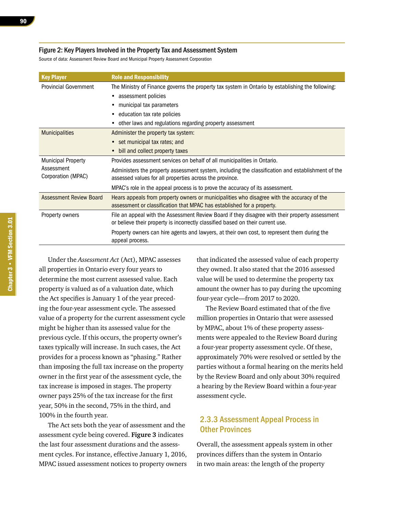#### Figure 2: Key Players Involved in the Property Tax and Assessment System

Source of data: Assessment Review Board and Municipal Property Assessment Corporation

| <b>Key Player</b>                | <b>Role and Responsibility</b>                                                                                                                                                     |
|----------------------------------|------------------------------------------------------------------------------------------------------------------------------------------------------------------------------------|
| <b>Provincial Government</b>     | The Ministry of Finance governs the property tax system in Ontario by establishing the following:                                                                                  |
|                                  | assessment policies                                                                                                                                                                |
|                                  | municipal tax parameters                                                                                                                                                           |
|                                  | education tax rate policies                                                                                                                                                        |
|                                  | other laws and regulations regarding property assessment                                                                                                                           |
| <b>Municipalities</b>            | Administer the property tax system:                                                                                                                                                |
|                                  | • set municipal tax rates; and                                                                                                                                                     |
|                                  | bill and collect property taxes                                                                                                                                                    |
| <b>Municipal Property</b>        | Provides assessment services on behalf of all municipalities in Ontario.                                                                                                           |
| Assessment<br>Corporation (MPAC) | Administers the property assessment system, including the classification and establishment of the<br>assessed values for all properties across the province.                       |
|                                  | MPAC's role in the appeal process is to prove the accuracy of its assessment.                                                                                                      |
| <b>Assessment Review Board</b>   | Hears appeals from property owners or municipalities who disagree with the accuracy of the<br>assessment or classification that MPAC has established for a property.               |
| Property owners                  | File an appeal with the Assessment Review Board if they disagree with their property assessment<br>or believe their property is incorrectly classified based on their current use. |
|                                  | Property owners can hire agents and lawyers, at their own cost, to represent them during the<br>appeal process.                                                                    |

Under the *Assessment Act* (Act), MPAC assesses all properties in Ontario every four years to determine the most current assessed value. Each property is valued as of a valuation date, which the Act specifies is January 1 of the year preceding the four-year assessment cycle. The assessed value of a property for the current assessment cycle might be higher than its assessed value for the previous cycle. If this occurs, the property owner's taxes typically will increase. In such cases, the Act provides for a process known as "phasing." Rather than imposing the full tax increase on the property owner in the first year of the assessment cycle, the tax increase is imposed in stages. The property owner pays 25% of the tax increase for the first year, 50% in the second, 75% in the third, and 100% in the fourth year.

The Act sets both the year of assessment and the assessment cycle being covered. **Figure 3** indicates the last four assessment durations and the assessment cycles. For instance, effective January 1, 2016, MPAC issued assessment notices to property owners that indicated the assessed value of each property they owned. It also stated that the 2016 assessed value will be used to determine the property tax amount the owner has to pay during the upcoming four-year cycle—from 2017 to 2020.

The Review Board estimated that of the five million properties in Ontario that were assessed by MPAC, about 1% of these property assessments were appealed to the Review Board during a four-year property assessment cycle. Of these, approximately 70% were resolved or settled by the parties without a formal hearing on the merits held by the Review Board and only about 30% required a hearing by the Review Board within a four-year assessment cycle.

#### 2.3.3 Assessment Appeal Process in Other Provinces

Overall, the assessment appeals system in other provinces differs than the system in Ontario in two main areas: the length of the property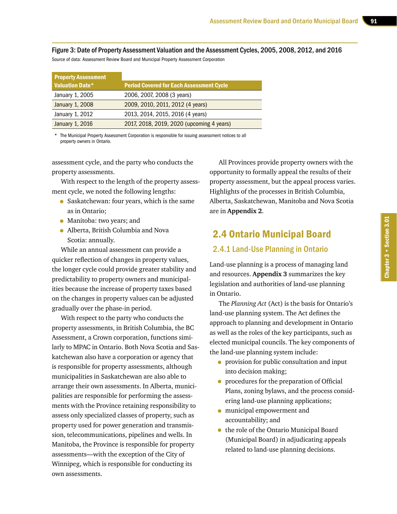Figure 3: Date of Property Assessment Valuation and the Assessment Cycles, 2005, 2008, 2012, and 2016 Source of data: Assessment Review Board and Municipal Property Assessment Corporation

| <b>Property Assessment</b> |                                                 |
|----------------------------|-------------------------------------------------|
| <b>Valuation Date*</b>     | <b>Period Covered for Each Assessment Cycle</b> |
| January 1, 2005            | 2006, 2007, 2008 (3 years)                      |
| January 1, 2008            | 2009, 2010, 2011, 2012 (4 years)                |
| January 1, 2012            | 2013, 2014, 2015, 2016 (4 years)                |
| January 1, 2016            | 2017, 2018, 2019, 2020 (upcoming 4 years)       |

The Municipal Property Assessment Corporation is responsible for issuing assessment notices to all property owners in Ontario.

assessment cycle, and the party who conducts the property assessments.

With respect to the length of the property assessment cycle, we noted the following lengths:

- Saskatchewan: four years, which is the same as in Ontario;
- Manitoba: two years; and
- Alberta, British Columbia and Nova Scotia: annually.

While an annual assessment can provide a quicker reflection of changes in property values, the longer cycle could provide greater stability and predictability to property owners and municipalities because the increase of property taxes based on the changes in property values can be adjusted gradually over the phase-in period.

With respect to the party who conducts the property assessments, in British Columbia, the BC Assessment, a Crown corporation, functions similarly to MPAC in Ontario. Both Nova Scotia and Saskatchewan also have a corporation or agency that is responsible for property assessments, although municipalities in Saskatchewan are also able to arrange their own assessments. In Alberta, municipalities are responsible for performing the assessments with the Province retaining responsibility to assess only specialized classes of property, such as property used for power generation and transmission, telecommunications, pipelines and wells. In Manitoba, the Province is responsible for property assessments—with the exception of the City of Winnipeg, which is responsible for conducting its own assessments.

All Provinces provide property owners with the opportunity to formally appeal the results of their property assessment, but the appeal process varies. Highlights of the processes in British Columbia, Alberta, Saskatchewan, Manitoba and Nova Scotia are in **Appendix 2**.

# 2.4 Ontario Municipal Board

#### 2.4.1 Land-Use Planning in Ontario

Land-use planning is a process of managing land and resources. **Appendix 3** summarizes the key legislation and authorities of land-use planning in Ontario.

The *Planning Act* (Act) is the basis for Ontario's land-use planning system. The Act defines the approach to planning and development in Ontario as well as the roles of the key participants, such as elected municipal councils. The key components of the land-use planning system include:

- provision for public consultation and input into decision making;
- procedures for the preparation of Official Plans, zoning bylaws, and the process considering land-use planning applications;
- municipal empowerment and accountability; and
- the role of the Ontario Municipal Board (Municipal Board) in adjudicating appeals related to land-use planning decisions.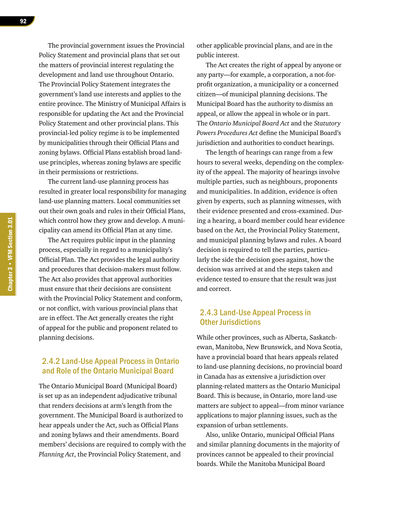The provincial government issues the Provincial Policy Statement and provincial plans that set out the matters of provincial interest regulating the development and land use throughout Ontario. The Provincial Policy Statement integrates the government's land use interests and applies to the entire province. The Ministry of Municipal Affairs is responsible for updating the Act and the Provincial Policy Statement and other provincial plans. This provincial-led policy regime is to be implemented by municipalities through their Official Plans and zoning bylaws. Official Plans establish broad landuse principles, whereas zoning bylaws are specific in their permissions or restrictions.

The current land-use planning process has resulted in greater local responsibility for managing land-use planning matters. Local communities set out their own goals and rules in their Official Plans, which control how they grow and develop. A municipality can amend its Official Plan at any time.

The Act requires public input in the planning process, especially in regard to a municipality's Official Plan. The Act provides the legal authority and procedures that decision-makers must follow. The Act also provides that approval authorities must ensure that their decisions are consistent with the Provincial Policy Statement and conform, or not conflict, with various provincial plans that are in effect. The Act generally creates the right of appeal for the public and proponent related to planning decisions.

#### 2.4.2 Land-Use Appeal Process in Ontario and Role of the Ontario Municipal Board

The Ontario Municipal Board (Municipal Board) is set up as an independent adjudicative tribunal that renders decisions at arm's length from the government. The Municipal Board is authorized to hear appeals under the Act, such as Official Plans and zoning bylaws and their amendments. Board members' decisions are required to comply with the *Planning Act*, the Provincial Policy Statement, and

other applicable provincial plans, and are in the public interest.

The Act creates the right of appeal by anyone or any party—for example, a corporation, a not-forprofit organization, a municipality or a concerned citizen—of municipal planning decisions. The Municipal Board has the authority to dismiss an appeal, or allow the appeal in whole or in part. The *Ontario Municipal Board Act* and the *Statutory Powers Procedures Act* define the Municipal Board's jurisdiction and authorities to conduct hearings.

The length of hearings can range from a few hours to several weeks, depending on the complexity of the appeal. The majority of hearings involve multiple parties, such as neighbours, proponents and municipalities. In addition, evidence is often given by experts, such as planning witnesses, with their evidence presented and cross-examined. During a hearing, a board member could hear evidence based on the Act, the Provincial Policy Statement, and municipal planning bylaws and rules. A board decision is required to tell the parties, particularly the side the decision goes against, how the decision was arrived at and the steps taken and evidence tested to ensure that the result was just and correct.

#### 2.4.3 Land-Use Appeal Process in Other Jurisdictions

While other provinces, such as Alberta, Saskatchewan, Manitoba, New Brunswick, and Nova Scotia, have a provincial board that hears appeals related to land-use planning decisions, no provincial board in Canada has as extensive a jurisdiction over planning-related matters as the Ontario Municipal Board. This is because, in Ontario, more land-use matters are subject to appeal—from minor variance applications to major planning issues, such as the expansion of urban settlements.

Also, unlike Ontario, municipal Official Plans and similar planning documents in the majority of provinces cannot be appealed to their provincial boards. While the Manitoba Municipal Board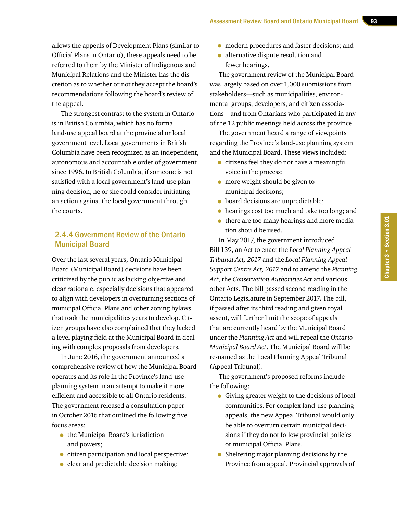allows the appeals of Development Plans (similar to Official Plans in Ontario), these appeals need to be referred to them by the Minister of Indigenous and Municipal Relations and the Minister has the discretion as to whether or not they accept the board's recommendations following the board's review of the appeal.

The strongest contrast to the system in Ontario is in British Columbia, which has no formal land-use appeal board at the provincial or local government level. Local governments in British Columbia have been recognized as an independent, autonomous and accountable order of government since 1996. In British Columbia, if someone is not satisfied with a local government's land-use planning decision, he or she could consider initiating an action against the local government through the courts.

#### 2.4.4 Government Review of the Ontario Municipal Board

Over the last several years, Ontario Municipal Board (Municipal Board) decisions have been criticized by the public as lacking objective and clear rationale, especially decisions that appeared to align with developers in overturning sections of municipal Official Plans and other zoning bylaws that took the municipalities years to develop. Citizen groups have also complained that they lacked a level playing field at the Municipal Board in dealing with complex proposals from developers.

In June 2016, the government announced a comprehensive review of how the Municipal Board operates and its role in the Province's land-use planning system in an attempt to make it more efficient and accessible to all Ontario residents. The government released a consultation paper in October 2016 that outlined the following five focus areas:

- the Municipal Board's jurisdiction and powers;
- citizen participation and local perspective;
- clear and predictable decision making;
- modern procedures and faster decisions; and<br>• alternative dispute resolution and
- alternative dispute resolution and fewer hearings.

The government review of the Municipal Board was largely based on over 1,000 submissions from stakeholders—such as municipalities, environmental groups, developers, and citizen associations—and from Ontarians who participated in any of the 12 public meetings held across the province.

The government heard a range of viewpoints regarding the Province's land-use planning system and the Municipal Board. These views included:

- citizens feel they do not have a meaningful voice in the process;
- more weight should be given to municipal decisions;
- board decisions are unpredictable;
- hearings cost too much and take too long; and
- there are too many hearings and more mediation should be used.

In May 2017, the government introduced Bill 139, an Act to enact the *Local Planning Appeal Tribunal Act, 2017* and the *Local Planning Appeal Support Centre Act, 2017* and to amend the *Planning Act*, the *Conservation Authorities Act* and various other Acts. The bill passed second reading in the Ontario Legislature in September 2017. The bill, if passed after its third reading and given royal assent, will further limit the scope of appeals that are currently heard by the Municipal Board under the *Planning Act* and will repeal the *Ontario Municipal Board Act*. The Municipal Board will be re-named as the Local Planning Appeal Tribunal (Appeal Tribunal).

The government's proposed reforms include the following:

- Giving greater weight to the decisions of local communities. For complex land-use planning appeals, the new Appeal Tribunal would only be able to overturn certain municipal decisions if they do not follow provincial policies or municipal Official Plans.
- Sheltering major planning decisions by the Province from appeal. Provincial approvals of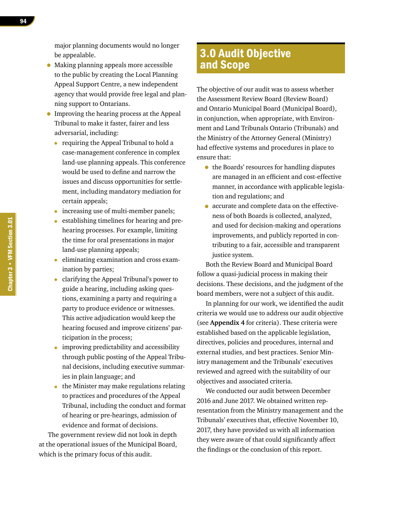major planning documents would no longer be appealable.

- Making planning appeals more accessible to the public by creating the Local Planning Appeal Support Centre, a new independent agency that would provide free legal and planning support to Ontarians.
- Improving the hearing process at the Appeal Tribunal to make it faster, fairer and less adversarial, including:
	- requiring the Appeal Tribunal to hold a case-management conference in complex land-use planning appeals. This conference would be used to define and narrow the issues and discuss opportunities for settlement, including mandatory mediation for certain appeals;
	- increasing use of multi-member panels;
	- establishing timelines for hearing and prehearing processes. For example, limiting the time for oral presentations in major land-use planning appeals;
	- eliminating examination and cross examination by parties;
	- clarifying the Appeal Tribunal's power to guide a hearing, including asking questions, examining a party and requiring a party to produce evidence or witnesses. This active adjudication would keep the hearing focused and improve citizens' participation in the process;
	- improving predictability and accessibility through public posting of the Appeal Tribunal decisions, including executive summaries in plain language; and
	- the Minister may make regulations relating to practices and procedures of the Appeal Tribunal, including the conduct and format of hearing or pre-hearings, admission of evidence and format of decisions.

The government review did not look in depth at the operational issues of the Municipal Board, which is the primary focus of this audit.

# 3.0 Audit Objective and Scope

The objective of our audit was to assess whether the Assessment Review Board (Review Board) and Ontario Municipal Board (Municipal Board), in conjunction, when appropriate, with Environment and Land Tribunals Ontario (Tribunals) and the Ministry of the Attorney General (Ministry) had effective systems and procedures in place to ensure that:

- the Boards' resources for handling disputes are managed in an efficient and cost-effective manner, in accordance with applicable legislation and regulations; and
- accurate and complete data on the effectiveness of both Boards is collected, analyzed, and used for decision-making and operations improvements, and publicly reported in contributing to a fair, accessible and transparent justice system.

Both the Review Board and Municipal Board follow a quasi-judicial process in making their decisions. These decisions, and the judgment of the board members, were not a subject of this audit.

In planning for our work, we identified the audit criteria we would use to address our audit objective (see **Appendix 4** for criteria). These criteria were established based on the applicable legislation, directives, policies and procedures, internal and external studies, and best practices. Senior Ministry management and the Tribunals' executives reviewed and agreed with the suitability of our objectives and associated criteria.

We conducted our audit between December 2016 and June 2017. We obtained written representation from the Ministry management and the Tribunals' executives that, effective November 10, 2017, they have provided us with all information they were aware of that could significantly affect the findings or the conclusion of this report.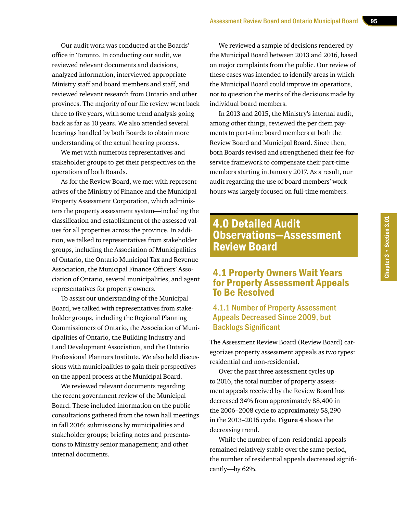Our audit work was conducted at the Boards' office in Toronto. In conducting our audit, we reviewed relevant documents and decisions, analyzed information, interviewed appropriate Ministry staff and board members and staff, and reviewed relevant research from Ontario and other provinces. The majority of our file review went back three to five years, with some trend analysis going back as far as 10 years. We also attended several hearings handled by both Boards to obtain more understanding of the actual hearing process.

We met with numerous representatives and stakeholder groups to get their perspectives on the operations of both Boards.

As for the Review Board, we met with representatives of the Ministry of Finance and the Municipal Property Assessment Corporation, which administers the property assessment system—including the classification and establishment of the assessed values for all properties across the province. In addition, we talked to representatives from stakeholder groups, including the Association of Municipalities of Ontario, the Ontario Municipal Tax and Revenue Association, the Municipal Finance Officers' Association of Ontario, several municipalities, and agent representatives for property owners.

To assist our understanding of the Municipal Board, we talked with representatives from stakeholder groups, including the Regional Planning Commissioners of Ontario, the Association of Municipalities of Ontario, the Building Industry and Land Development Association, and the Ontario Professional Planners Institute. We also held discussions with municipalities to gain their perspectives on the appeal process at the Municipal Board.

We reviewed relevant documents regarding the recent government review of the Municipal Board. These included information on the public consultations gathered from the town hall meetings in fall 2016; submissions by municipalities and stakeholder groups; briefing notes and presentations to Ministry senior management; and other internal documents.

We reviewed a sample of decisions rendered by the Municipal Board between 2013 and 2016, based on major complaints from the public. Our review of these cases was intended to identify areas in which the Municipal Board could improve its operations, not to question the merits of the decisions made by individual board members.

In 2013 and 2015, the Ministry's internal audit, among other things, reviewed the per diem payments to part-time board members at both the Review Board and Municipal Board. Since then, both Boards revised and strengthened their fee-forservice framework to compensate their part-time members starting in January 2017. As a result, our audit regarding the use of board members' work hours was largely focused on full-time members.

# 4.0 Detailed Audit Observations—Assessment Review Board

# 4.1 Property Owners Wait Years for Property Assessment Appeals To Be Resolved

#### 4.1.1 Number of Property Assessment Appeals Decreased Since 2009, but Backlogs Significant

The Assessment Review Board (Review Board) categorizes property assessment appeals as two types: residential and non-residential.

Over the past three assessment cycles up to 2016, the total number of property assessment appeals received by the Review Board has decreased 34% from approximately 88,400 in the 2006–2008 cycle to approximately 58,290 in the 2013–2016 cycle. **Figure 4** shows the decreasing trend.

While the number of non-residential appeals remained relatively stable over the same period, the number of residential appeals decreased significantly—by 62%.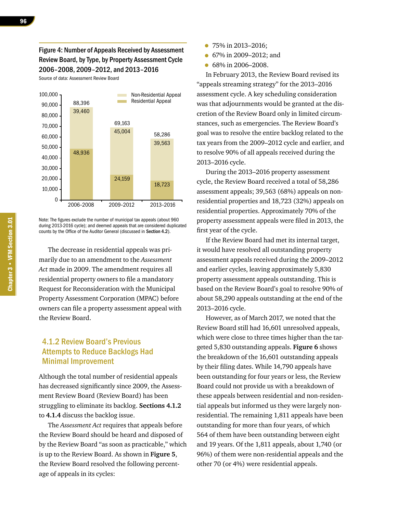#### Figure 4: Number of Appeals Received by Assessment Review Board, by Type, by Property Assessment Cycle 2006–2008, 2009–2012, and 2013–2016

Source of data: Assessment Review Board



Note: The figures exclude the number of municipal tax appeals (about 960 during 2013-2016 cycle); and deemed appeals that are considered duplicated counts by the Office of the Auditor General (discussed in Section 4.2).

The decrease in residential appeals was primarily due to an amendment to the *Assessment Act* made in 2009. The amendment requires all residential property owners to file a mandatory Request for Reconsideration with the Municipal Property Assessment Corporation (MPAC) before owners can file a property assessment appeal with the Review Board.

#### 4.1.2 Review Board's Previous Attempts to Reduce Backlogs Had Minimal Improvement

Although the total number of residential appeals has decreased significantly since 2009, the Assessment Review Board (Review Board) has been struggling to eliminate its backlog. **Sections 4.1.2**  to **4.1.4** discuss the backlog issue.

The *Assessment Act* requires that appeals before the Review Board should be heard and disposed of by the Review Board "as soon as practicable," which is up to the Review Board. As shown in **Figure 5**, the Review Board resolved the following percentage of appeals in its cycles:

- 75% in 2013–2016;
- 67% in 2009–2012; and
- 68% in 2006–2008.

In February 2013, the Review Board revised its "appeals streaming strategy" for the 2013–2016 assessment cycle. A key scheduling consideration was that adjournments would be granted at the discretion of the Review Board only in limited circumstances, such as emergencies. The Review Board's goal was to resolve the entire backlog related to the tax years from the 2009–2012 cycle and earlier, and to resolve 90% of all appeals received during the 2013–2016 cycle.

During the 2013–2016 property assessment cycle, the Review Board received a total of 58,286 assessment appeals; 39,563 (68%) appeals on nonresidential properties and 18,723 (32%) appeals on residential properties. Approximately 70% of the property assessment appeals were filed in 2013, the first year of the cycle.

If the Review Board had met its internal target, it would have resolved all outstanding property assessment appeals received during the 2009–2012 and earlier cycles, leaving approximately 5,830 property assessment appeals outstanding. This is based on the Review Board's goal to resolve 90% of about 58,290 appeals outstanding at the end of the 2013–2016 cycle.

However, as of March 2017, we noted that the Review Board still had 16,601 unresolved appeals, which were close to three times higher than the targeted 5,830 outstanding appeals. **Figure 6** shows the breakdown of the 16,601 outstanding appeals by their filing dates. While 14,790 appeals have been outstanding for four years or less, the Review Board could not provide us with a breakdown of these appeals between residential and non-residential appeals but informed us they were largely nonresidential. The remaining 1,811 appeals have been outstanding for more than four years, of which 564 of them have been outstanding between eight and 19 years. Of the 1,811 appeals, about 1,740 (or 96%) of them were non-residential appeals and the other 70 (or 4%) were residential appeals.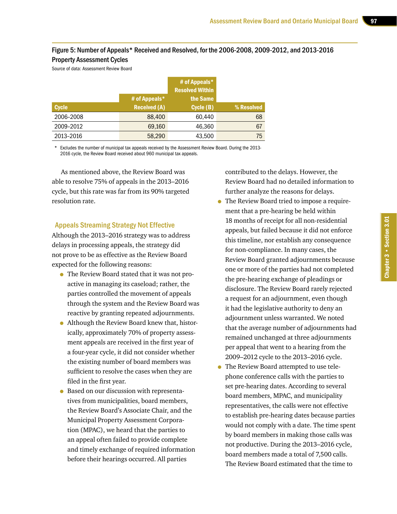#### Figure 5: Number of Appeals\* Received and Resolved, for the 2006-2008, 2009-2012, and 2013-2016 Property Assessment Cycles

Source of data: Assessment Review Board

|              |                     | # of Appeals*<br><b>Resolved Within</b> |            |
|--------------|---------------------|-----------------------------------------|------------|
|              | # of Appeals $*$    | the Same                                |            |
| <b>Cycle</b> | <b>Received (A)</b> | Cycle (B)                               | % Resolved |
| 2006-2008    | 88,400              | 60.440                                  | 68         |
| 2009-2012    | 69,160              | 46.360                                  | 67         |
| 2013-2016    | 58,290              | 43,500                                  | 75         |

Excludes the number of municipal tax appeals received by the Assessment Review Board. During the 2013-2016 cycle, the Review Board received about 960 municipal tax appeals.

As mentioned above, the Review Board was able to resolve 75% of appeals in the 2013–2016 cycle, but this rate was far from its 90% targeted resolution rate.

#### Appeals Streaming Strategy Not Effective

Although the 2013–2016 strategy was to address delays in processing appeals, the strategy did not prove to be as effective as the Review Board expected for the following reasons:

- The Review Board stated that it was not proactive in managing its caseload; rather, the parties controlled the movement of appeals through the system and the Review Board was reactive by granting repeated adjournments.
- Although the Review Board knew that, historically, approximately 70% of property assessment appeals are received in the first year of a four-year cycle, it did not consider whether the existing number of board members was sufficient to resolve the cases when they are filed in the first year.
- Based on our discussion with representatives from municipalities, board members, the Review Board's Associate Chair, and the Municipal Property Assessment Corporation (MPAC), we heard that the parties to an appeal often failed to provide complete and timely exchange of required information before their hearings occurred. All parties

contributed to the delays. However, the Review Board had no detailed information to further analyze the reasons for delays.

- The Review Board tried to impose a requirement that a pre-hearing be held within 18 months of receipt for all non-residential appeals, but failed because it did not enforce this timeline, nor establish any consequence for non-compliance. In many cases, the Review Board granted adjournments because one or more of the parties had not completed the pre-hearing exchange of pleadings or disclosure. The Review Board rarely rejected a request for an adjournment, even though it had the legislative authority to deny an adjournment unless warranted. We noted that the average number of adjournments had remained unchanged at three adjournments per appeal that went to a hearing from the 2009–2012 cycle to the 2013–2016 cycle.
- The Review Board attempted to use telephone conference calls with the parties to set pre-hearing dates. According to several board members, MPAC, and municipality representatives, the calls were not effective to establish pre-hearing dates because parties would not comply with a date. The time spent by board members in making those calls was not productive. During the 2013–2016 cycle, board members made a total of 7,500 calls. The Review Board estimated that the time to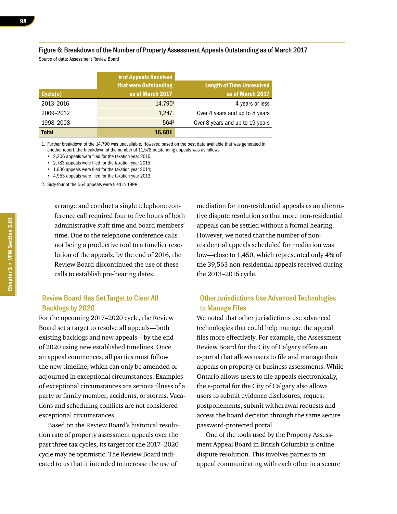#### Figure 6: Breakdown of the Number of Property Assessment Appeals Outstanding as of March 2017

Source of data: Assessment Review Board

|              | # of Appeals Received |                                  |
|--------------|-----------------------|----------------------------------|
|              | that were Outstanding | <b>Length of Time Unresolved</b> |
| Cycle(s)     | as of March 2017      | as of March 2017                 |
| 2013-2016    | 14.7901               | 4 years or less                  |
| 2009-2012    | 1,247                 | Over 4 years and up to 8 years   |
| 1998-2008    | $564^2$               | Over 8 years and up to 19 years  |
| <b>Total</b> | 16,601                |                                  |

1. Further breakdown of the 14,790 was unavailable. However, based on the best data available that was generated in another report, the breakdown of the number of 11,578 outstanding appeals was as follows:

 • 2,206 appeals were filed for the taxation year 2016;

 • 2,783 appeals were filed for the taxation year 2015;

• 1,636 appeals were filed for the taxation year 2014;

 • 4,953 appeals were filed for the taxation year 2013.

2. Sixty-four of the 564 appeals were filed in 1998.

arrange and conduct a single telephone conference call required four to five hours of both administrative staff time and board members' time. Due to the telephone conference calls not being a productive tool to a timelier resolution of the appeals, by the end of 2016, the Review Board discontinued the use of these calls to establish pre-hearing dates.

#### Review Board Has Set Target to Clear All Backlogs by 2020

For the upcoming 2017–2020 cycle, the Review Board set a target to resolve all appeals—both existing backlogs and new appeals—by the end of 2020 using new established timelines. Once an appeal commences, all parties must follow the new timeline, which can only be amended or adjourned in exceptional circumstances. Examples of exceptional circumstances are serious illness of a party or family member, accidents, or storms. Vacations and scheduling conflicts are not considered exceptional circumstances.

Based on the Review Board's historical resolution rate of property assessment appeals over the past three tax cycles, its target for the 2017–2020 cycle may be optimistic. The Review Board indicated to us that it intended to increase the use of

mediation for non-residential appeals as an alternative dispute resolution so that more non-residential appeals can be settled without a formal hearing. However, we noted that the number of nonresidential appeals scheduled for mediation was low—close to 1,450, which represented only 4% of the 39,563 non-residential appeals received during the 2013–2016 cycle.

#### Other Jurisdictions Use Advanced Technologies to Manage Files

We noted that other jurisdictions use advanced technologies that could help manage the appeal files more effectively. For example, the Assessment Review Board for the City of Calgary offers an e-portal that allows users to file and manage their appeals on property or business assessments. While Ontario allows users to file appeals electronically, the e-portal for the City of Calgary also allows users to submit evidence disclosures, request postponements, submit withdrawal requests and access the board decision through the same secure password-protected portal.

One of the tools used by the Property Assessment Appeal Board in British Columbia is online dispute resolution. This involves parties to an appeal communicating with each other in a secure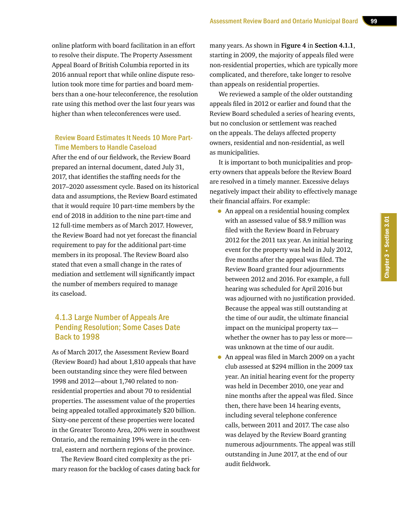online platform with board facilitation in an effort to resolve their dispute. The Property Assessment Appeal Board of British Columbia reported in its 2016 annual report that while online dispute resolution took more time for parties and board members than a one-hour teleconference, the resolution rate using this method over the last four years was higher than when teleconferences were used.

#### Review Board Estimates It Needs 10 More Part-Time Members to Handle Caseload

After the end of our fieldwork, the Review Board prepared an internal document, dated July 31, 2017, that identifies the staffing needs for the 2017–2020 assessment cycle. Based on its historical data and assumptions, the Review Board estimated that it would require 10 part-time members by the end of 2018 in addition to the nine part-time and 12 full-time members as of March 2017. However, the Review Board had not yet forecast the financial requirement to pay for the additional part-time members in its proposal. The Review Board also stated that even a small change in the rates of mediation and settlement will significantly impact the number of members required to manage its caseload.

#### 4.1.3 Large Number of Appeals Are Pending Resolution; Some Cases Date Back to 1998

As of March 2017, the Assessment Review Board (Review Board) had about 1,810 appeals that have been outstanding since they were filed between 1998 and 2012—about 1,740 related to nonresidential properties and about 70 to residential properties. The assessment value of the properties being appealed totalled approximately \$20 billion. Sixty-one percent of these properties were located in the Greater Toronto Area, 20% were in southwest Ontario, and the remaining 19% were in the central, eastern and northern regions of the province.

The Review Board cited complexity as the primary reason for the backlog of cases dating back for many years. As shown in **Figure 4** in **Section 4.1.1**, starting in 2009, the majority of appeals filed were non-residential properties, which are typically more complicated, and therefore, take longer to resolve than appeals on residential properties.

We reviewed a sample of the older outstanding appeals filed in 2012 or earlier and found that the Review Board scheduled a series of hearing events, but no conclusion or settlement was reached on the appeals. The delays affected property owners, residential and non-residential, as well as municipalities.

It is important to both municipalities and property owners that appeals before the Review Board are resolved in a timely manner. Excessive delays negatively impact their ability to effectively manage their financial affairs. For example:

- An appeal on a residential housing complex with an assessed value of \$8.9 million was filed with the Review Board in February 2012 for the 2011 tax year. An initial hearing event for the property was held in July 2012, five months after the appeal was filed. The Review Board granted four adjournments between 2012 and 2016. For example, a full hearing was scheduled for April 2016 but was adjourned with no justification provided. Because the appeal was still outstanding at the time of our audit, the ultimate financial impact on the municipal property tax whether the owner has to pay less or more was unknown at the time of our audit.
- An appeal was filed in March 2009 on a yacht club assessed at \$294 million in the 2009 tax year. An initial hearing event for the property was held in December 2010, one year and nine months after the appeal was filed. Since then, there have been 14 hearing events, including several telephone conference calls, between 2011 and 2017. The case also was delayed by the Review Board granting numerous adjournments. The appeal was still outstanding in June 2017, at the end of our audit fieldwork.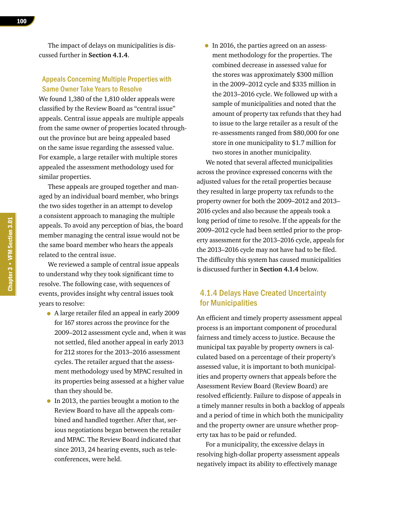The impact of delays on municipalities is discussed further in **Section 4.1.4**.

#### Appeals Concerning Multiple Properties with Same Owner Take Years to Resolve

We found 1,380 of the 1,810 older appeals were classified by the Review Board as "central issue" appeals. Central issue appeals are multiple appeals from the same owner of properties located throughout the province but are being appealed based on the same issue regarding the assessed value. For example, a large retailer with multiple stores appealed the assessment methodology used for similar properties.

These appeals are grouped together and managed by an individual board member, who brings the two sides together in an attempt to develop a consistent approach to managing the multiple appeals. To avoid any perception of bias, the board member managing the central issue would not be the same board member who hears the appeals related to the central issue.

We reviewed a sample of central issue appeals to understand why they took significant time to resolve. The following case, with sequences of events, provides insight why central issues took years to resolve:

- A large retailer filed an appeal in early 2009 for 167 stores across the province for the 2009–2012 assessment cycle and, when it was not settled, filed another appeal in early 2013 for 212 stores for the 2013–2016 assessment cycles. The retailer argued that the assessment methodology used by MPAC resulted in its properties being assessed at a higher value than they should be.
- In 2013, the parties brought a motion to the Review Board to have all the appeals combined and handled together. After that, serious negotiations began between the retailer and MPAC. The Review Board indicated that since 2013, 24 hearing events, such as teleconferences, were held.

• In 2016, the parties agreed on an assessment methodology for the properties. The combined decrease in assessed value for the stores was approximately \$300 million in the 2009–2012 cycle and \$335 million in the 2013–2016 cycle. We followed up with a sample of municipalities and noted that the amount of property tax refunds that they had to issue to the large retailer as a result of the re-assessments ranged from \$80,000 for one store in one municipality to \$1.7 million for two stores in another municipality.

We noted that several affected municipalities across the province expressed concerns with the adjusted values for the retail properties because they resulted in large property tax refunds to the property owner for both the 2009–2012 and 2013– 2016 cycles and also because the appeals took a long period of time to resolve. If the appeals for the 2009–2012 cycle had been settled prior to the property assessment for the 2013–2016 cycle, appeals for the 2013–2016 cycle may not have had to be filed. The difficulty this system has caused municipalities is discussed further in **Section 4.1.4** below.

#### 4.1.4 Delays Have Created Uncertainty for Municipalities

An efficient and timely property assessment appeal process is an important component of procedural fairness and timely access to justice. Because the municipal tax payable by property owners is calculated based on a percentage of their property's assessed value, it is important to both municipalities and property owners that appeals before the Assessment Review Board (Review Board) are resolved efficiently. Failure to dispose of appeals in a timely manner results in both a backlog of appeals and a period of time in which both the municipality and the property owner are unsure whether property tax has to be paid or refunded.

For a municipality, the excessive delays in resolving high-dollar property assessment appeals negatively impact its ability to effectively manage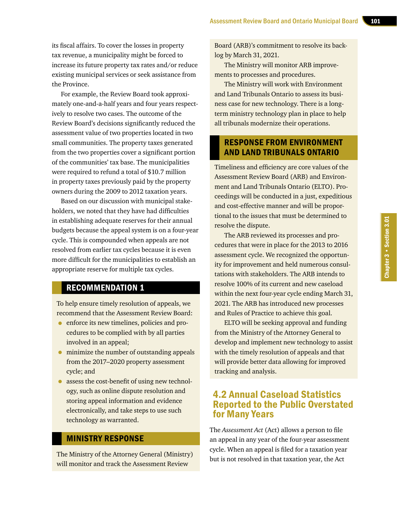its fiscal affairs. To cover the losses in property tax revenue, a municipality might be forced to increase its future property tax rates and/or reduce existing municipal services or seek assistance from the Province.

For example, the Review Board took approximately one-and-a-half years and four years respectively to resolve two cases. The outcome of the Review Board's decisions significantly reduced the assessment value of two properties located in two small communities. The property taxes generated from the two properties cover a significant portion of the communities' tax base. The municipalities were required to refund a total of \$10.7 million in property taxes previously paid by the property owners during the 2009 to 2012 taxation years.

Based on our discussion with municipal stakeholders, we noted that they have had difficulties in establishing adequate reserves for their annual budgets because the appeal system is on a four-year cycle. This is compounded when appeals are not resolved from earlier tax cycles because it is even more difficult for the municipalities to establish an appropriate reserve for multiple tax cycles.

# RECOMMENDATION 1

To help ensure timely resolution of appeals, we recommend that the Assessment Review Board:

- enforce its new timelines, policies and procedures to be complied with by all parties involved in an appeal;
- minimize the number of outstanding appeals from the 2017–2020 property assessment cycle; and
- assess the cost-benefit of using new technology, such as online dispute resolution and storing appeal information and evidence electronically, and take steps to use such technology as warranted.

#### MINISTRY RESPONSE

The Ministry of the Attorney General (Ministry) will monitor and track the Assessment Review

Board (ARB)'s commitment to resolve its backlog by March 31, 2021.

The Ministry will monitor ARB improvements to processes and procedures.

The Ministry will work with Environment and Land Tribunals Ontario to assess its business case for new technology. There is a longterm ministry technology plan in place to help all tribunals modernize their operations.

### RESPONSE FROM ENVIRONMENT AND LAND TRIBUNALS ONTARIO

Timeliness and efficiency are core values of the Assessment Review Board (ARB) and Environment and Land Tribunals Ontario (ELTO). Proceedings will be conducted in a just, expeditious and cost-effective manner and will be proportional to the issues that must be determined to resolve the dispute.

The ARB reviewed its processes and procedures that were in place for the 2013 to 2016 assessment cycle. We recognized the opportunity for improvement and held numerous consultations with stakeholders. The ARB intends to resolve 100% of its current and new caseload within the next four-year cycle ending March 31, 2021. The ARB has introduced new processes and Rules of Practice to achieve this goal.

ELTO will be seeking approval and funding from the Ministry of the Attorney General to develop and implement new technology to assist with the timely resolution of appeals and that will provide better data allowing for improved tracking and analysis.

## 4.2 Annual Caseload Statistics Reported to the Public Overstated for Many Years

The *Assessment Act* (Act) allows a person to file an appeal in any year of the four-year assessment cycle. When an appeal is filed for a taxation year but is not resolved in that taxation year, the Act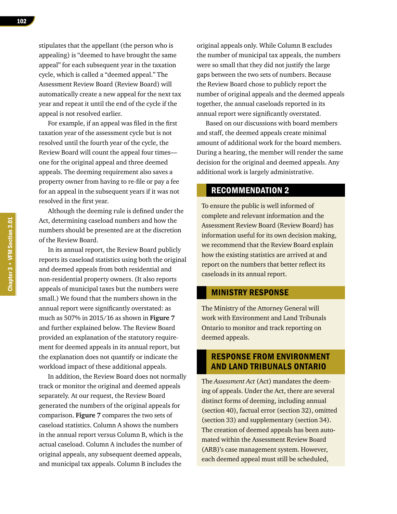stipulates that the appellant (the person who is appealing) is "deemed to have brought the same appeal" for each subsequent year in the taxation cycle, which is called a "deemed appeal." The Assessment Review Board (Review Board) will automatically create a new appeal for the next tax year and repeat it until the end of the cycle if the appeal is not resolved earlier.

For example, if an appeal was filed in the first taxation year of the assessment cycle but is not resolved until the fourth year of the cycle, the Review Board will count the appeal four times one for the original appeal and three deemed appeals. The deeming requirement also saves a property owner from having to re-file or pay a fee for an appeal in the subsequent years if it was not resolved in the first year.

Although the deeming rule is defined under the Act, determining caseload numbers and how the numbers should be presented are at the discretion of the Review Board.

In its annual report, the Review Board publicly reports its caseload statistics using both the original and deemed appeals from both residential and non-residential property owners. (It also reports appeals of municipal taxes but the numbers were small.) We found that the numbers shown in the annual report were significantly overstated: as much as 507% in 2015/16 as shown in **Figure 7**  and further explained below. The Review Board provided an explanation of the statutory requirement for deemed appeals in its annual report, but the explanation does not quantify or indicate the workload impact of these additional appeals.

In addition, the Review Board does not normally track or monitor the original and deemed appeals separately. At our request, the Review Board generated the numbers of the original appeals for comparison. **Figure 7** compares the two sets of caseload statistics. Column A shows the numbers in the annual report versus Column B, which is the actual caseload. Column A includes the number of original appeals, any subsequent deemed appeals, and municipal tax appeals. Column B includes the

original appeals only. While Column B excludes the number of municipal tax appeals, the numbers were so small that they did not justify the large gaps between the two sets of numbers. Because the Review Board chose to publicly report the number of original appeals and the deemed appeals together, the annual caseloads reported in its annual report were significantly overstated.

Based on our discussions with board members and staff, the deemed appeals create minimal amount of additional work for the board members. During a hearing, the member will render the same decision for the original and deemed appeals. Any additional work is largely administrative.

# RECOMMENDATION 2

To ensure the public is well informed of complete and relevant information and the Assessment Review Board (Review Board) has information useful for its own decision making, we recommend that the Review Board explain how the existing statistics are arrived at and report on the numbers that better reflect its caseloads in its annual report.

#### MINISTRY RESPONSE

The Ministry of the Attorney General will work with Environment and Land Tribunals Ontario to monitor and track reporting on deemed appeals.

#### RESPONSE FROM ENVIRONMENT AND LAND TRIBUNALS ONTARIO

The *Assessment Act* (Act) mandates the deeming of appeals. Under the Act, there are several distinct forms of deeming, including annual (section 40), factual error (section 32), omitted (section 33) and supplementary (section 34). The creation of deemed appeals has been automated within the Assessment Review Board (ARB)'s case management system. However, each deemed appeal must still be scheduled,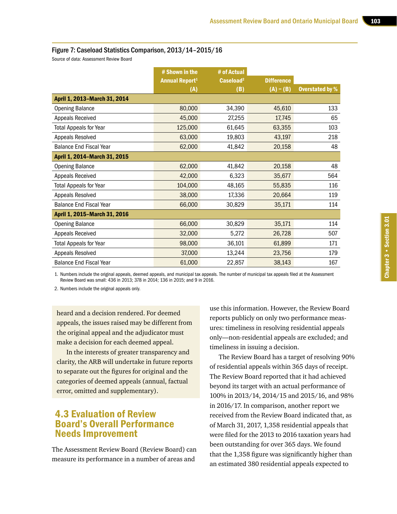#### Figure 7: Caseload Statistics Comparison, 2013/14–2015/16

Source of data: Assessment Review Board

|                                | # Shown in the        | # of Actual           |                   |                        |
|--------------------------------|-----------------------|-----------------------|-------------------|------------------------|
|                                | <b>Annual Report1</b> | Caseload <sup>2</sup> | <b>Difference</b> |                        |
|                                | (A)                   | (B)                   | $(A) - (B)$       | <b>Overstated by %</b> |
| April 1, 2013-March 31, 2014   |                       |                       |                   |                        |
| <b>Opening Balance</b>         | 80,000                | 34,390                | 45,610            | 133                    |
| Appeals Received               | 45,000                | 27,255                | 17,745            | 65                     |
| <b>Total Appeals for Year</b>  | 125,000               | 61,645                | 63,355            | 103                    |
| Appeals Resolved               | 63,000                | 19,803                | 43,197            | 218                    |
| <b>Balance End Fiscal Year</b> | 62,000                | 41,842                | 20,158            | 48                     |
| April 1, 2014-March 31, 2015   |                       |                       |                   |                        |
| <b>Opening Balance</b>         | 62,000                | 41,842                | 20,158            | 48                     |
| Appeals Received               | 42,000                | 6,323                 | 35,677            | 564                    |
| <b>Total Appeals for Year</b>  | 104,000               | 48,165                | 55,835            | 116                    |
| Appeals Resolved               | 38,000                | 17,336                | 20,664            | 119                    |
| <b>Balance End Fiscal Year</b> | 66,000                | 30,829                | 35,171            | 114                    |
| April 1, 2015-March 31, 2016   |                       |                       |                   |                        |
| <b>Opening Balance</b>         | 66,000                | 30,829                | 35,171            | 114                    |
| Appeals Received               | 32,000                | 5,272                 | 26,728            | 507                    |
| <b>Total Appeals for Year</b>  | 98,000                | 36,101                | 61,899            | 171                    |
| Appeals Resolved               | 37,000                | 13,244                | 23,756            | 179                    |
| <b>Balance End Fiscal Year</b> | 61,000                | 22,857                | 38,143            | 167                    |

1. Numbers include the original appeals, deemed appeals, and municipal tax appeals. The number of municipal tax appeals filed at the Assessment Review Board was small: 436 in 2013; 378 in 2014; 136 in 2015; and 9 in 2016.

2. Numbers include the original appeals only.

heard and a decision rendered. For deemed appeals, the issues raised may be different from the original appeal and the adjudicator must make a decision for each deemed appeal.

In the interests of greater transparency and clarity, the ARB will undertake in future reports to separate out the figures for original and the categories of deemed appeals (annual, factual error, omitted and supplementary).

# 4.3 Evaluation of Review Board's Overall Performance Needs Improvement

The Assessment Review Board (Review Board) can measure its performance in a number of areas and

use this information. However, the Review Board reports publicly on only two performance measures: timeliness in resolving residential appeals only—non-residential appeals are excluded; and timeliness in issuing a decision.

The Review Board has a target of resolving 90% of residential appeals within 365 days of receipt. The Review Board reported that it had achieved beyond its target with an actual performance of 100% in 2013/14, 2014/15 and 2015/16, and 98% in 2016/17. In comparison, another report we received from the Review Board indicated that, as of March 31, 2017, 1,358 residential appeals that were filed for the 2013 to 2016 taxation years had been outstanding for over 365 days. We found that the 1,358 figure was significantly higher than an estimated 380 residential appeals expected to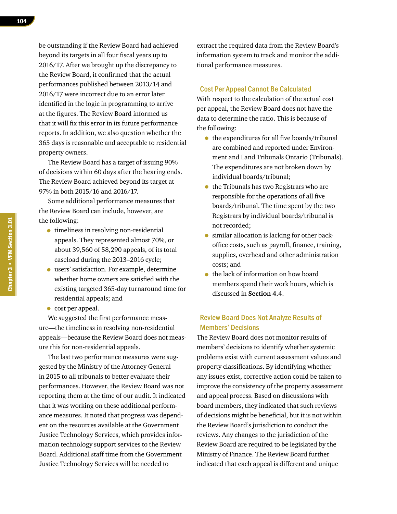be outstanding if the Review Board had achieved beyond its targets in all four fiscal years up to 2016/17. After we brought up the discrepancy to the Review Board, it confirmed that the actual performances published between 2013/14 and 2016/17 were incorrect due to an error later identified in the logic in programming to arrive at the figures. The Review Board informed us that it will fix this error in its future performance reports. In addition, we also question whether the 365 days is reasonable and acceptable to residential property owners.

The Review Board has a target of issuing 90% of decisions within 60 days after the hearing ends. The Review Board achieved beyond its target at 97% in both 2015/16 and 2016/17.

Some additional performance measures that the Review Board can include, however, are the following:

- timeliness in resolving non-residential appeals. They represented almost 70%, or about 39,560 of 58,290 appeals, of its total caseload during the 2013–2016 cycle;
- users' satisfaction. For example, determine whether home owners are satisfied with the existing targeted 365-day turnaround time for residential appeals; and
- cost per appeal.

We suggested the first performance measure—the timeliness in resolving non-residential appeals—because the Review Board does not measure this for non-residential appeals.

The last two performance measures were suggested by the Ministry of the Attorney General in 2015 to all tribunals to better evaluate their performances. However, the Review Board was not reporting them at the time of our audit. It indicated that it was working on these additional performance measures. It noted that progress was dependent on the resources available at the Government Justice Technology Services, which provides information technology support services to the Review Board. Additional staff time from the Government Justice Technology Services will be needed to

extract the required data from the Review Board's information system to track and monitor the additional performance measures.

#### Cost Per Appeal Cannot Be Calculated

With respect to the calculation of the actual cost per appeal, the Review Board does not have the data to determine the ratio. This is because of the following:

- the expenditures for all five boards/tribunal are combined and reported under Environment and Land Tribunals Ontario (Tribunals). The expenditures are not broken down by individual boards/tribunal;
- the Tribunals has two Registrars who are responsible for the operations of all five boards/tribunal. The time spent by the two Registrars by individual boards/tribunal is not recorded;
- similar allocation is lacking for other backoffice costs, such as payroll, finance, training, supplies, overhead and other administration costs; and
- the lack of information on how board members spend their work hours, which is discussed in **Section 4.4**.

#### Review Board Does Not Analyze Results of Members' Decisions

The Review Board does not monitor results of members' decisions to identify whether systemic problems exist with current assessment values and property classifications. By identifying whether any issues exist, corrective action could be taken to improve the consistency of the property assessment and appeal process. Based on discussions with board members, they indicated that such reviews of decisions might be beneficial, but it is not within the Review Board's jurisdiction to conduct the reviews. Any changes to the jurisdiction of the Review Board are required to be legislated by the Ministry of Finance. The Review Board further indicated that each appeal is different and unique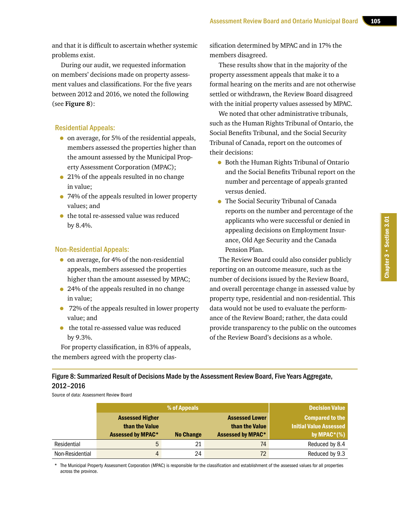and that it is difficult to ascertain whether systemic problems exist.

During our audit, we requested information on members' decisions made on property assessment values and classifications. For the five years between 2012 and 2016, we noted the following (see **Figure 8**):

#### Residential Appeals:

- on average, for 5% of the residential appeals, members assessed the properties higher than the amount assessed by the Municipal Property Assessment Corporation (MPAC);
- 21% of the appeals resulted in no change in value;
- 74% of the appeals resulted in lower property values; and
- the total re-assessed value was reduced by 8.4%.

#### Non-Residential Appeals:

- on average, for 4% of the non-residential appeals, members assessed the properties higher than the amount assessed by MPAC;
- 24% of the appeals resulted in no change in value;
- 72% of the appeals resulted in lower property value; and
- the total re-assessed value was reduced by 9.3%.

For property classification, in 83% of appeals, the members agreed with the property clas-

sification determined by MPAC and in 17% the members disagreed.

These results show that in the majority of the property assessment appeals that make it to a formal hearing on the merits and are not otherwise settled or withdrawn, the Review Board disagreed with the initial property values assessed by MPAC.

We noted that other administrative tribunals, such as the Human Rights Tribunal of Ontario, the Social Benefits Tribunal, and the Social Security Tribunal of Canada, report on the outcomes of their decisions:

- Both the Human Rights Tribunal of Ontario and the Social Benefits Tribunal report on the number and percentage of appeals granted versus denied.
- The Social Security Tribunal of Canada reports on the number and percentage of the applicants who were successful or denied in appealing decisions on Employment Insurance, Old Age Security and the Canada Pension Plan.

The Review Board could also consider publicly reporting on an outcome measure, such as the number of decisions issued by the Review Board, and overall percentage change in assessed value by property type, residential and non-residential. This data would not be used to evaluate the performance of the Review Board; rather, the data could provide transparency to the public on the outcomes of the Review Board's decisions as a whole.

Figure 8: Summarized Result of Decisions Made by the Assessment Review Board, Five Years Aggregate, 2012–2016

Source of data: Assessment Review Board

|                 |                                                                      | % of Appeals     |                                                                     | <b>Decision Value</b>                                              |
|-----------------|----------------------------------------------------------------------|------------------|---------------------------------------------------------------------|--------------------------------------------------------------------|
|                 | <b>Assessed Higher</b><br>than the Value<br><b>Assessed by MPAC*</b> | <b>No Change</b> | <b>Assessed Lower</b><br>than the Value<br><b>Assessed by MPAC*</b> | <b>Compared to the</b><br>Initial Value Assessed<br>by $MPAC*(\%)$ |
| Residential     | 5                                                                    | 21               | 74                                                                  | Reduced by 8.4                                                     |
| Non-Residential | 4                                                                    | 24               | 72                                                                  | Reduced by 9.3                                                     |

\* The Municipal Property Assessment Corporation (MPAC) is responsible for the classification and establishment of the assessed values for all properties across the province.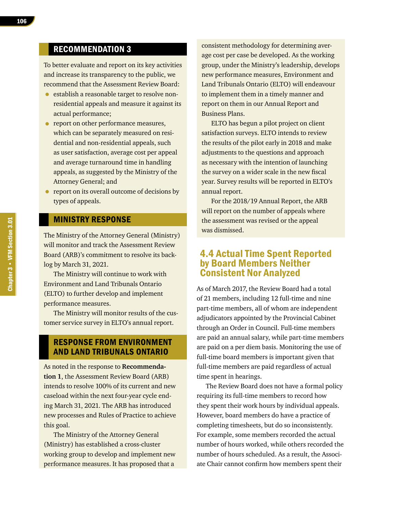# RECOMMENDATION 3

To better evaluate and report on its key activities and increase its transparency to the public, we recommend that the Assessment Review Board:

- establish a reasonable target to resolve nonresidential appeals and measure it against its actual performance;
- report on other performance measures, which can be separately measured on residential and non-residential appeals, such as user satisfaction, average cost per appeal and average turnaround time in handling appeals, as suggested by the Ministry of the Attorney General; and
- report on its overall outcome of decisions by types of appeals.

#### MINISTRY RESPONSE

The Ministry of the Attorney General (Ministry) will monitor and track the Assessment Review Board (ARB)'s commitment to resolve its backlog by March 31, 2021.

The Ministry will continue to work with Environment and Land Tribunals Ontario (ELTO) to further develop and implement performance measures.

The Ministry will monitor results of the customer service survey in ELTO's annual report.

#### RESPONSE FROM ENVIRONMENT AND LAND TRIBUNALS ONTARIO

As noted in the response to **Recommendation 1**, the Assessment Review Board (ARB) intends to resolve 100% of its current and new caseload within the next four-year cycle ending March 31, 2021. The ARB has introduced new processes and Rules of Practice to achieve this goal.

The Ministry of the Attorney General (Ministry) has established a cross-cluster working group to develop and implement new performance measures. It has proposed that a

consistent methodology for determining average cost per case be developed. As the working group, under the Ministry's leadership, develops new performance measures, Environment and Land Tribunals Ontario (ELTO) will endeavour to implement them in a timely manner and report on them in our Annual Report and Business Plans.

ELTO has begun a pilot project on client satisfaction surveys. ELTO intends to review the results of the pilot early in 2018 and make adjustments to the questions and approach as necessary with the intention of launching the survey on a wider scale in the new fiscal year. Survey results will be reported in ELTO's annual report.

For the 2018/19 Annual Report, the ARB will report on the number of appeals where the assessment was revised or the appeal was dismissed.

## 4.4 Actual Time Spent Reported by Board Members Neither Consistent Nor Analyzed

As of March 2017, the Review Board had a total of 21 members, including 12 full-time and nine part-time members, all of whom are independent adjudicators appointed by the Provincial Cabinet through an Order in Council. Full-time members are paid an annual salary, while part-time members are paid on a per diem basis. Monitoring the use of full-time board members is important given that full-time members are paid regardless of actual time spent in hearings.

The Review Board does not have a formal policy requiring its full-time members to record how they spent their work hours by individual appeals. However, board members do have a practice of completing timesheets, but do so inconsistently. For example, some members recorded the actual number of hours worked, while others recorded the number of hours scheduled. As a result, the Associate Chair cannot confirm how members spent their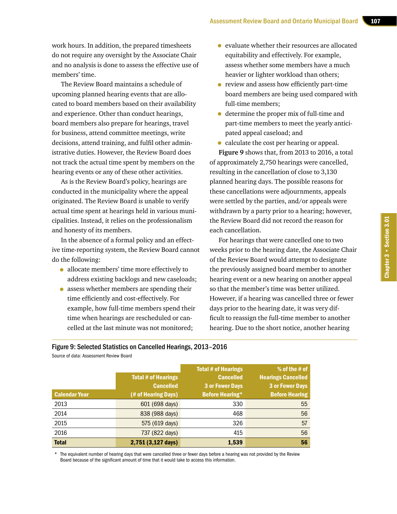work hours. In addition, the prepared timesheets do not require any oversight by the Associate Chair and no analysis is done to assess the effective use of members' time.

The Review Board maintains a schedule of upcoming planned hearing events that are allocated to board members based on their availability and experience. Other than conduct hearings, board members also prepare for hearings, travel for business, attend committee meetings, write decisions, attend training, and fulfil other administrative duties. However, the Review Board does not track the actual time spent by members on the hearing events or any of these other activities.

As is the Review Board's policy, hearings are conducted in the municipality where the appeal originated. The Review Board is unable to verify actual time spent at hearings held in various municipalities. Instead, it relies on the professionalism and honesty of its members.

In the absence of a formal policy and an effective time-reporting system, the Review Board cannot do the following:

- allocate members' time more effectively to address existing backlogs and new caseloads;
- assess whether members are spending their time efficiently and cost-effectively. For example, how full-time members spend their time when hearings are rescheduled or cancelled at the last minute was not monitored;
- evaluate whether their resources are allocated equitability and effectively. For example, assess whether some members have a much heavier or lighter workload than others;
- review and assess how efficiently part-time board members are being used compared with full-time members;
- determine the proper mix of full-time and part-time members to meet the yearly anticipated appeal caseload; and
- calculate the cost per hearing or appeal.

**Figure 9** shows that, from 2013 to 2016, a total of approximately 2,750 hearings were cancelled, resulting in the cancellation of close to 3,130 planned hearing days. The possible reasons for these cancellations were adjournments, appeals were settled by the parties, and/or appeals were withdrawn by a party prior to a hearing; however, the Review Board did not record the reason for each cancellation.

For hearings that were cancelled one to two weeks prior to the hearing date, the Associate Chair of the Review Board would attempt to designate the previously assigned board member to another hearing event or a new hearing on another appeal so that the member's time was better utilized. However, if a hearing was cancelled three or fewer days prior to the hearing date, it was very difficult to reassign the full-time member to another hearing. Due to the short notice, another hearing

Figure 9: Selected Statistics on Cancelled Hearings, 2013–2016

| <b>Calendar Year</b> | <b>Total # of Hearings</b><br><b>Cancelled</b><br>(# of Hearing Days) | <b>Total # of Hearings</b><br><b>Cancelled</b><br><b>3 or Fewer Days</b><br><b>Before Hearing*</b> | % of the # of<br><b>Hearings Cancelled</b><br><b>3 or Fewer Days</b><br><b>Before Hearing</b> |
|----------------------|-----------------------------------------------------------------------|----------------------------------------------------------------------------------------------------|-----------------------------------------------------------------------------------------------|
| 2013                 | 601 (698 days)                                                        | 330                                                                                                | 55                                                                                            |
| 2014                 | 838 (988 days)                                                        | 468                                                                                                | 56                                                                                            |
| 2015                 | 575 (619 days)                                                        | 326                                                                                                | 57                                                                                            |
| 2016                 | 737 (822 days)                                                        | 415                                                                                                | 56                                                                                            |
| <b>Total</b>         | 2,751 (3,127 days)                                                    | 1,539                                                                                              | 56                                                                                            |

Source of data: Assessment Review Board

The equivalent number of hearing days that were cancelled three or fewer days before a hearing was not provided by the Review Board because of the significant amount of time that it would take to access this information.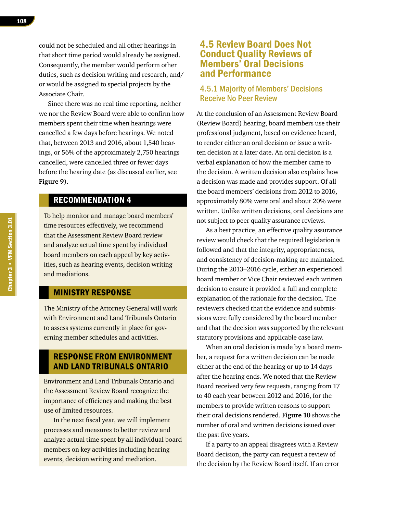could not be scheduled and all other hearings in that short time period would already be assigned. Consequently, the member would perform other duties, such as decision writing and research, and/ or would be assigned to special projects by the Associate Chair.

Since there was no real time reporting, neither we nor the Review Board were able to confirm how members spent their time when hearings were cancelled a few days before hearings. We noted that, between 2013 and 2016, about 1,540 hearings, or 56% of the approximately 2,750 hearings cancelled, were cancelled three or fewer days before the hearing date (as discussed earlier, see **Figure 9**).

### RECOMMENDATION 4

To help monitor and manage board members' time resources effectively, we recommend that the Assessment Review Board review and analyze actual time spent by individual board members on each appeal by key activities, such as hearing events, decision writing and mediations.

#### MINISTRY RESPONSE

The Ministry of the Attorney General will work with Environment and Land Tribunals Ontario to assess systems currently in place for governing member schedules and activities.

#### RESPONSE FROM ENVIRONMENT AND LAND TRIBUNALS ONTARIO

Environment and Land Tribunals Ontario and the Assessment Review Board recognize the importance of efficiency and making the best use of limited resources.

In the next fiscal year, we will implement processes and measures to better review and analyze actual time spent by all individual board members on key activities including hearing events, decision writing and mediation.

## 4.5 Review Board Does Not Conduct Quality Reviews of Members' Oral Decisions and Performance

#### 4.5.1 Majority of Members' Decisions Receive No Peer Review

At the conclusion of an Assessment Review Board (Review Board) hearing, board members use their professional judgment, based on evidence heard, to render either an oral decision or issue a written decision at a later date. An oral decision is a verbal explanation of how the member came to the decision. A written decision also explains how a decision was made and provides support. Of all the board members' decisions from 2012 to 2016, approximately 80% were oral and about 20% were written. Unlike written decisions, oral decisions are not subject to peer quality assurance reviews.

As a best practice, an effective quality assurance review would check that the required legislation is followed and that the integrity, appropriateness, and consistency of decision-making are maintained. During the 2013–2016 cycle, either an experienced board member or Vice Chair reviewed each written decision to ensure it provided a full and complete explanation of the rationale for the decision. The reviewers checked that the evidence and submissions were fully considered by the board member and that the decision was supported by the relevant statutory provisions and applicable case law.

When an oral decision is made by a board member, a request for a written decision can be made either at the end of the hearing or up to 14 days after the hearing ends. We noted that the Review Board received very few requests, ranging from 17 to 40 each year between 2012 and 2016, for the members to provide written reasons to support their oral decisions rendered. **Figure 10** shows the number of oral and written decisions issued over the past five years.

If a party to an appeal disagrees with a Review Board decision, the party can request a review of the decision by the Review Board itself. If an error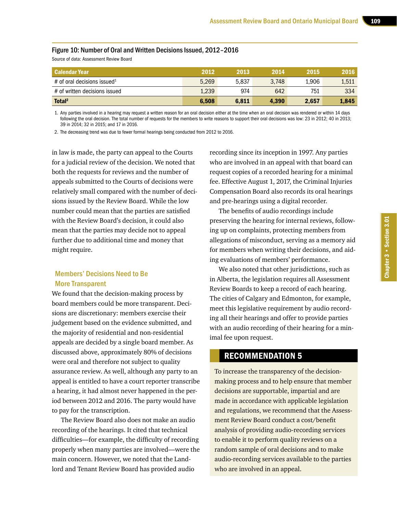#### Figure 10: Number of Oral and Written Decisions Issued, 2012–2016

Source of data: Assessment Review Board

| l Calendar Year                         | 2012  | 2013  | 2014  | 2015  | 2016  |
|-----------------------------------------|-------|-------|-------|-------|-------|
| # of oral decisions issued <sup>1</sup> | 5,269 | 5.837 | 3.748 | 1.906 | 1,511 |
| # of written decisions issued           | 1,239 | 974   | 642   | 751   | 334   |
| Total <sup>2</sup>                      | 6.508 | 6.811 | 4.390 | 2.657 | 1.845 |

1. Any parties involved in a hearing may request a written reason for an oral decision either at the time when an oral decision was rendered or within 14 days following the oral decision. The total number of requests for the members to write reasons to support their oral decisions was low: 23 in 2012; 40 in 2013; 39 in 2014; 32 in 2015; and 17 in 2016.

2. The decreasing trend was due to fewer formal hearings being conducted from 2012 to 2016.

in law is made, the party can appeal to the Courts for a judicial review of the decision. We noted that both the requests for reviews and the number of appeals submitted to the Courts of decisions were relatively small compared with the number of decisions issued by the Review Board. While the low number could mean that the parties are satisfied with the Review Board's decision, it could also mean that the parties may decide not to appeal further due to additional time and money that might require.

#### Members' Decisions Need to Be More Transparent

We found that the decision-making process by board members could be more transparent. Decisions are discretionary: members exercise their judgement based on the evidence submitted, and the majority of residential and non-residential appeals are decided by a single board member. As discussed above, approximately 80% of decisions were oral and therefore not subject to quality assurance review. As well, although any party to an appeal is entitled to have a court reporter transcribe a hearing, it had almost never happened in the period between 2012 and 2016. The party would have to pay for the transcription.

The Review Board also does not make an audio recording of the hearings. It cited that technical difficulties—for example, the difficulty of recording properly when many parties are involved—were the main concern. However, we noted that the Landlord and Tenant Review Board has provided audio

recording since its inception in 1997. Any parties who are involved in an appeal with that board can request copies of a recorded hearing for a minimal fee. Effective August 1, 2017, the Criminal Injuries Compensation Board also records its oral hearings and pre-hearings using a digital recorder.

The benefits of audio recordings include preserving the hearing for internal reviews, following up on complaints, protecting members from allegations of misconduct, serving as a memory aid for members when writing their decisions, and aiding evaluations of members' performance.

We also noted that other jurisdictions, such as in Alberta, the legislation requires all Assessment Review Boards to keep a record of each hearing. The cities of Calgary and Edmonton, for example, meet this legislative requirement by audio recording all their hearings and offer to provide parties with an audio recording of their hearing for a minimal fee upon request.

#### RECOMMENDATION 5

To increase the transparency of the decisionmaking process and to help ensure that member decisions are supportable, impartial and are made in accordance with applicable legislation and regulations, we recommend that the Assessment Review Board conduct a cost/benefit analysis of providing audio-recording services to enable it to perform quality reviews on a random sample of oral decisions and to make audio-recording services available to the parties who are involved in an appeal.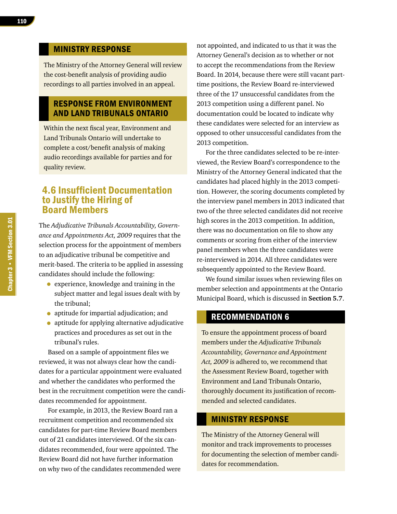#### MINISTRY RESPONSE

The Ministry of the Attorney General will review the cost-benefit analysis of providing audio recordings to all parties involved in an appeal.

#### RESPONSE FROM ENVIRONMENT AND LAND TRIBUNALS ONTARIO

Within the next fiscal year, Environment and Land Tribunals Ontario will undertake to complete a cost/benefit analysis of making audio recordings available for parties and for quality review.

## 4.6 Insufficient Documentation to Justify the Hiring of Board Members

The *Adjudicative Tribunals Accountability, Governance and Appointments Act, 2009* requires that the selection process for the appointment of members to an adjudicative tribunal be competitive and merit-based. The criteria to be applied in assessing candidates should include the following:

- experience, knowledge and training in the subject matter and legal issues dealt with by the tribunal;
- aptitude for impartial adjudication; and
- aptitude for applying alternative adjudicative practices and procedures as set out in the tribunal's rules.

Based on a sample of appointment files we reviewed, it was not always clear how the candidates for a particular appointment were evaluated and whether the candidates who performed the best in the recruitment competition were the candidates recommended for appointment.

For example, in 2013, the Review Board ran a recruitment competition and recommended six candidates for part-time Review Board members out of 21 candidates interviewed. Of the six candidates recommended, four were appointed. The Review Board did not have further information on why two of the candidates recommended were not appointed, and indicated to us that it was the Attorney General's decision as to whether or not to accept the recommendations from the Review Board. In 2014, because there were still vacant parttime positions, the Review Board re-interviewed three of the 17 unsuccessful candidates from the 2013 competition using a different panel. No documentation could be located to indicate why these candidates were selected for an interview as opposed to other unsuccessful candidates from the 2013 competition.

For the three candidates selected to be re-interviewed, the Review Board's correspondence to the Ministry of the Attorney General indicated that the candidates had placed highly in the 2013 competition. However, the scoring documents completed by the interview panel members in 2013 indicated that two of the three selected candidates did not receive high scores in the 2013 competition. In addition, there was no documentation on file to show any comments or scoring from either of the interview panel members when the three candidates were re-interviewed in 2014. All three candidates were subsequently appointed to the Review Board.

We found similar issues when reviewing files on member selection and appointments at the Ontario Municipal Board, which is discussed in **Section 5.7**.

#### RECOMMENDATION 6

To ensure the appointment process of board members under the *Adjudicative Tribunals Accountability, Governance and Appointment Act, 2009* is adhered to, we recommend that the Assessment Review Board, together with Environment and Land Tribunals Ontario, thoroughly document its justification of recommended and selected candidates.

#### MINISTRY RESPONSE

The Ministry of the Attorney General will monitor and track improvements to processes for documenting the selection of member candidates for recommendation.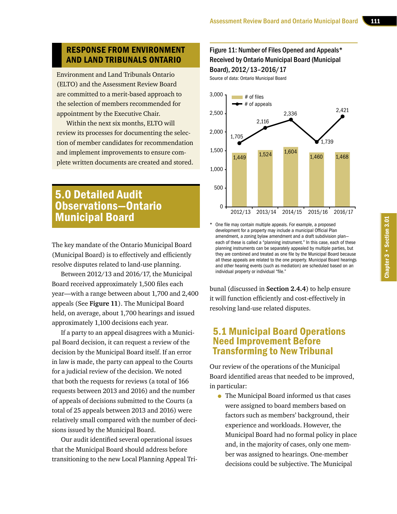## RESPONSE FROM ENVIRONMENT AND LAND TRIBUNALS ONTARIO

Environment and Land Tribunals Ontario (ELTO) and the Assessment Review Board are committed to a merit-based approach to the selection of members recommended for appointment by the Executive Chair.

Within the next six months, ELTO will review its processes for documenting the selection of member candidates for recommendation and implement improvements to ensure complete written documents are created and stored.

# 5.0 Detailed Audit Observations—Ontario Municipal Board

The key mandate of the Ontario Municipal Board (Municipal Board) is to effectively and efficiently resolve disputes related to land-use planning.

Between 2012/13 and 2016/17, the Municipal Board received approximately 1,500 files each year—with a range between about 1,700 and 2,400 appeals (See **Figure 11**). The Municipal Board held, on average, about 1,700 hearings and issued approximately 1,100 decisions each year.

If a party to an appeal disagrees with a Municipal Board decision, it can request a review of the decision by the Municipal Board itself. If an error in law is made, the party can appeal to the Courts for a judicial review of the decision. We noted that both the requests for reviews (a total of 166 requests between 2013 and 2016) and the number of appeals of decisions submitted to the Courts (a total of 25 appeals between 2013 and 2016) were relatively small compared with the number of decisions issued by the Municipal Board.

Our audit identified several operational issues that the Municipal Board should address before transitioning to the new Local Planning Appeal Tri-

### Figure 11: Number of Files Opened and Appeals\* Received by Ontario Municipal Board (Municipal Board), 2012/13–2016/17

Source of data: Ontario Municipal Board



One file may contain multiple appeals. For example, a proposed development for a property may include a municipal Official Plan amendment, a zoning bylaw amendment and a draft subdivision plan each of these is called a "planning instrument." In this case, each of these planning instruments can be separately appealed by multiple parties, but they are combined and treated as one file by the Municipal Board because all these appeals are related to the one property. Municipal Board hearings and other hearing events (such as mediation) are scheduled based on an individual property or individual "file."

bunal (discussed in **Section 2.4.4**) to help ensure it will function efficiently and cost-effectively in resolving land-use related disputes.

# 5.1 Municipal Board Operations Need Improvement Before Transforming to New Tribunal

Our review of the operations of the Municipal Board identified areas that needed to be improved, in particular:

• The Municipal Board informed us that cases were assigned to board members based on factors such as members' background, their experience and workloads. However, the Municipal Board had no formal policy in place and, in the majority of cases, only one member was assigned to hearings. One-member decisions could be subjective. The Municipal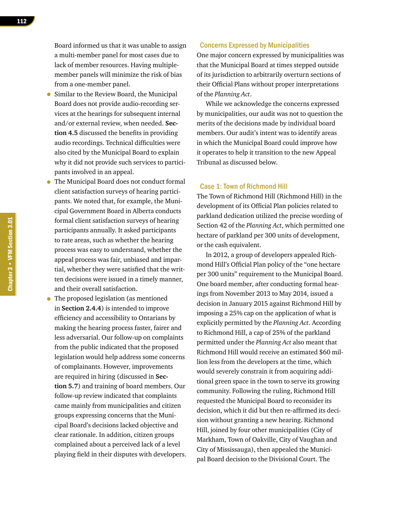Board informed us that it was unable to assign a multi-member panel for most cases due to lack of member resources. Having multiplemember panels will minimize the risk of bias from a one-member panel.

- Similar to the Review Board, the Municipal Board does not provide audio-recording services at the hearings for subsequent internal and/or external review, when needed. **Section 4.5** discussed the benefits in providing audio recordings. Technical difficulties were also cited by the Municipal Board to explain why it did not provide such services to participants involved in an appeal.
- The Municipal Board does not conduct formal client satisfaction surveys of hearing participants. We noted that, for example, the Municipal Government Board in Alberta conducts formal client satisfaction surveys of hearing participants annually. It asked participants to rate areas, such as whether the hearing process was easy to understand, whether the appeal process was fair, unbiased and impartial, whether they were satisfied that the written decisions were issued in a timely manner, and their overall satisfaction.
- The proposed legislation (as mentioned in **Section 2.4.4**) is intended to improve efficiency and accessibility to Ontarians by making the hearing process faster, fairer and less adversarial. Our follow-up on complaints from the public indicated that the proposed legislation would help address some concerns of complainants. However, improvements are required in hiring (discussed in **Section 5.7**) and training of board members. Our follow-up review indicated that complaints came mainly from municipalities and citizen groups expressing concerns that the Municipal Board's decisions lacked objective and clear rationale. In addition, citizen groups complained about a perceived lack of a level playing field in their disputes with developers.

#### Concerns Expressed by Municipalities

One major concern expressed by municipalities was that the Municipal Board at times stepped outside of its jurisdiction to arbitrarily overturn sections of their Official Plans without proper interpretations of the *Planning Act*.

While we acknowledge the concerns expressed by municipalities, our audit was not to question the merits of the decisions made by individual board members. Our audit's intent was to identify areas in which the Municipal Board could improve how it operates to help it transition to the new Appeal Tribunal as discussed below.

#### Case 1: Town of Richmond Hill

The Town of Richmond Hill (Richmond Hill) in the development of its Official Plan policies related to parkland dedication utilized the precise wording of Section 42 of the *Planning Act*, which permitted one hectare of parkland per 300 units of development, or the cash equivalent.

In 2012, a group of developers appealed Richmond Hill's Official Plan policy of the "one hectare per 300 units" requirement to the Municipal Board. One board member, after conducting formal hearings from November 2013 to May 2014, issued a decision in January 2015 against Richmond Hill by imposing a 25% cap on the application of what is explicitly permitted by the *Planning Act*. According to Richmond Hill, a cap of 25% of the parkland permitted under the *Planning Act* also meant that Richmond Hill would receive an estimated \$60 million less from the developers at the time, which would severely constrain it from acquiring additional green space in the town to serve its growing community. Following the ruling, Richmond Hill requested the Municipal Board to reconsider its decision, which it did but then re-affirmed its decision without granting a new hearing. Richmond Hill, joined by four other municipalities (City of Markham, Town of Oakville, City of Vaughan and City of Mississauga), then appealed the Municipal Board decision to the Divisional Court. The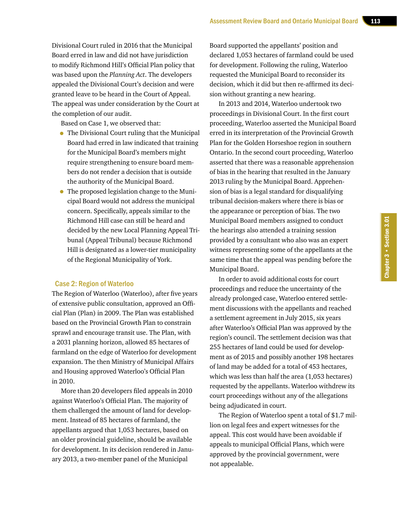Divisional Court ruled in 2016 that the Municipal Board erred in law and did not have jurisdiction to modify Richmond Hill's Official Plan policy that was based upon the *Planning Act*. The developers appealed the Divisional Court's decision and were granted leave to be heard in the Court of Appeal. The appeal was under consideration by the Court at the completion of our audit.

Based on Case 1, we observed that:

- The Divisional Court ruling that the Municipal Board had erred in law indicated that training for the Municipal Board's members might require strengthening to ensure board members do not render a decision that is outside the authority of the Municipal Board.
- The proposed legislation change to the Municipal Board would not address the municipal concern. Specifically, appeals similar to the Richmond Hill case can still be heard and decided by the new Local Planning Appeal Tribunal (Appeal Tribunal) because Richmond Hill is designated as a lower-tier municipality of the Regional Municipality of York.

#### Case 2: Region of Waterloo

The Region of Waterloo (Waterloo), after five years of extensive public consultation, approved an Official Plan (Plan) in 2009. The Plan was established based on the Provincial Growth Plan to constrain sprawl and encourage transit use. The Plan, with a 2031 planning horizon, allowed 85 hectares of farmland on the edge of Waterloo for development expansion. The then Ministry of Municipal Affairs and Housing approved Waterloo's Official Plan in 2010.

More than 20 developers filed appeals in 2010 against Waterloo's Official Plan. The majority of them challenged the amount of land for development. Instead of 85 hectares of farmland, the appellants argued that 1,053 hectares, based on an older provincial guideline, should be available for development. In its decision rendered in January 2013, a two-member panel of the Municipal

Board supported the appellants' position and declared 1,053 hectares of farmland could be used for development. Following the ruling, Waterloo requested the Municipal Board to reconsider its decision, which it did but then re-affirmed its decision without granting a new hearing.

In 2013 and 2014, Waterloo undertook two proceedings in Divisional Court. In the first court proceeding, Waterloo asserted the Municipal Board erred in its interpretation of the Provincial Growth Plan for the Golden Horseshoe region in southern Ontario. In the second court proceeding, Waterloo asserted that there was a reasonable apprehension of bias in the hearing that resulted in the January 2013 ruling by the Municipal Board. Apprehension of bias is a legal standard for disqualifying tribunal decision-makers where there is bias or the appearance or perception of bias. The two Municipal Board members assigned to conduct the hearings also attended a training session provided by a consultant who also was an expert witness representing some of the appellants at the same time that the appeal was pending before the Municipal Board.

In order to avoid additional costs for court proceedings and reduce the uncertainty of the already prolonged case, Waterloo entered settlement discussions with the appellants and reached a settlement agreement in July 2015, six years after Waterloo's Official Plan was approved by the region's council. The settlement decision was that 255 hectares of land could be used for development as of 2015 and possibly another 198 hectares of land may be added for a total of 453 hectares, which was less than half the area (1,053 hectares) requested by the appellants. Waterloo withdrew its court proceedings without any of the allegations being adjudicated in court.

The Region of Waterloo spent a total of \$1.7 million on legal fees and expert witnesses for the appeal. This cost would have been avoidable if appeals to municipal Official Plans, which were approved by the provincial government, were not appealable.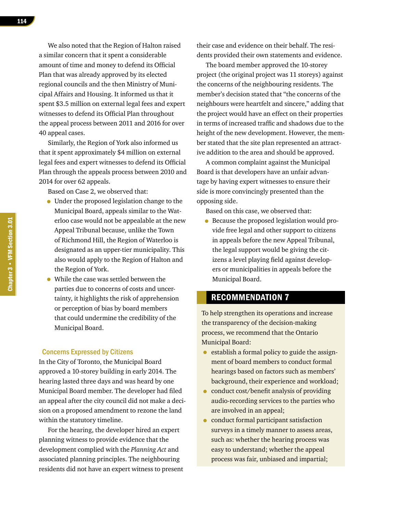We also noted that the Region of Halton raised a similar concern that it spent a considerable amount of time and money to defend its Official Plan that was already approved by its elected regional councils and the then Ministry of Municipal Affairs and Housing. It informed us that it spent \$3.5 million on external legal fees and expert witnesses to defend its Official Plan throughout the appeal process between 2011 and 2016 for over 40 appeal cases.

Similarly, the Region of York also informed us that it spent approximately \$4 million on external legal fees and expert witnesses to defend its Official Plan through the appeals process between 2010 and 2014 for over 62 appeals.

Based on Case 2, we observed that:

- Under the proposed legislation change to the Municipal Board, appeals similar to the Waterloo case would not be appealable at the new Appeal Tribunal because, unlike the Town of Richmond Hill, the Region of Waterloo is designated as an upper-tier municipality. This also would apply to the Region of Halton and the Region of York.
- While the case was settled between the parties due to concerns of costs and uncertainty, it highlights the risk of apprehension or perception of bias by board members that could undermine the credibility of the Municipal Board.

#### Concerns Expressed by Citizens

In the City of Toronto, the Municipal Board approved a 10-storey building in early 2014. The hearing lasted three days and was heard by one Municipal Board member. The developer had filed an appeal after the city council did not make a decision on a proposed amendment to rezone the land within the statutory timeline.

For the hearing, the developer hired an expert planning witness to provide evidence that the development complied with the *Planning Act* and associated planning principles. The neighbouring residents did not have an expert witness to present their case and evidence on their behalf. The residents provided their own statements and evidence.

The board member approved the 10-storey project (the original project was 11 storeys) against the concerns of the neighbouring residents. The member's decision stated that "the concerns of the neighbours were heartfelt and sincere," adding that the project would have an effect on their properties in terms of increased traffic and shadows due to the height of the new development. However, the member stated that the site plan represented an attractive addition to the area and should be approved.

A common complaint against the Municipal Board is that developers have an unfair advantage by having expert witnesses to ensure their side is more convincingly presented than the opposing side.

Based on this case, we observed that:

• Because the proposed legislation would provide free legal and other support to citizens in appeals before the new Appeal Tribunal, the legal support would be giving the citizens a level playing field against developers or municipalities in appeals before the Municipal Board.

#### RECOMMENDATION 7

To help strengthen its operations and increase the transparency of the decision-making process, we recommend that the Ontario Municipal Board:

- establish a formal policy to guide the assignment of board members to conduct formal hearings based on factors such as members' background, their experience and workload;
- conduct cost/benefit analysis of providing audio-recording services to the parties who are involved in an appeal;
- conduct formal participant satisfaction surveys in a timely manner to assess areas, such as: whether the hearing process was easy to understand; whether the appeal process was fair, unbiased and impartial;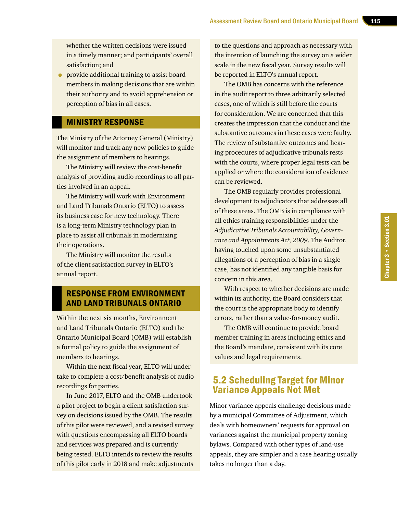whether the written decisions were issued in a timely manner; and participants' overall satisfaction; and

• provide additional training to assist board members in making decisions that are within their authority and to avoid apprehension or perception of bias in all cases.

#### MINISTRY RESPONSE

The Ministry of the Attorney General (Ministry) will monitor and track any new policies to guide the assignment of members to hearings.

The Ministry will review the cost-benefit analysis of providing audio recordings to all parties involved in an appeal.

The Ministry will work with Environment and Land Tribunals Ontario (ELTO) to assess its business case for new technology. There is a long-term Ministry technology plan in place to assist all tribunals in modernizing their operations.

The Ministry will monitor the results of the client satisfaction survey in ELTO's annual report.

## RESPONSE FROM ENVIRONMENT AND LAND TRIBUNALS ONTARIO

Within the next six months, Environment and Land Tribunals Ontario (ELTO) and the Ontario Municipal Board (OMB) will establish a formal policy to guide the assignment of members to hearings.

Within the next fiscal year, ELTO will undertake to complete a cost/benefit analysis of audio recordings for parties.

In June 2017, ELTO and the OMB undertook a pilot project to begin a client satisfaction survey on decisions issued by the OMB. The results of this pilot were reviewed, and a revised survey with questions encompassing all ELTO boards and services was prepared and is currently being tested. ELTO intends to review the results of this pilot early in 2018 and make adjustments to the questions and approach as necessary with the intention of launching the survey on a wider scale in the new fiscal year. Survey results will be reported in ELTO's annual report.

The OMB has concerns with the reference in the audit report to three arbitrarily selected cases, one of which is still before the courts for consideration. We are concerned that this creates the impression that the conduct and the substantive outcomes in these cases were faulty. The review of substantive outcomes and hearing procedures of adjudicative tribunals rests with the courts, where proper legal tests can be applied or where the consideration of evidence can be reviewed.

The OMB regularly provides professional development to adjudicators that addresses all of these areas. The OMB is in compliance with all ethics training responsibilities under the *Adjudicative Tribunals Accountability, Governance and Appointments Act, 2009*. The Auditor, having touched upon some unsubstantiated allegations of a perception of bias in a single case, has not identified any tangible basis for concern in this area.

With respect to whether decisions are made within its authority, the Board considers that the court is the appropriate body to identify errors, rather than a value-for-money audit.

The OMB will continue to provide board member training in areas including ethics and the Board's mandate, consistent with its core values and legal requirements.

# 5.2 Scheduling Target for Minor Variance Appeals Not Met

Minor variance appeals challenge decisions made by a municipal Committee of Adjustment, which deals with homeowners' requests for approval on variances against the municipal property zoning bylaws. Compared with other types of land-use appeals, they are simpler and a case hearing usually takes no longer than a day.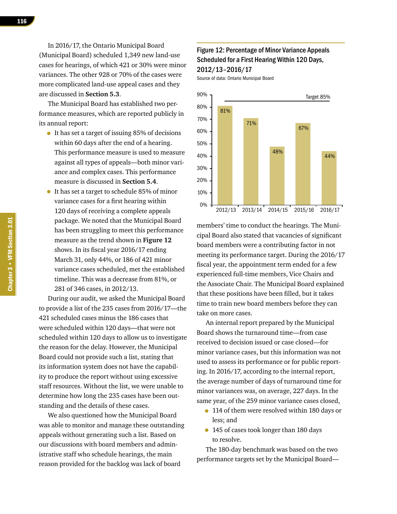In 2016/17, the Ontario Municipal Board (Municipal Board) scheduled 1,349 new land-use cases for hearings, of which 421 or 30% were minor variances. The other 928 or 70% of the cases were more complicated land-use appeal cases and they are discussed in **Section 5.3**.

The Municipal Board has established two performance measures, which are reported publicly in its annual report:

- It has set a target of issuing 85% of decisions within 60 days after the end of a hearing. This performance measure is used to measure against all types of appeals—both minor variance and complex cases. This performance measure is discussed in **Section 5.4**.
- It has set a target to schedule 85% of minor variance cases for a first hearing within 120 days of receiving a complete appeals package. We noted that the Municipal Board has been struggling to meet this performance measure as the trend shown in **Figure 12**  shows. In its fiscal year 2016/17 ending March 31, only 44%, or 186 of 421 minor variance cases scheduled, met the established timeline. This was a decrease from 81%, or 281 of 346 cases, in 2012/13.

During our audit, we asked the Municipal Board to provide a list of the 235 cases from 2016/17—the 421 scheduled cases minus the 186 cases that were scheduled within 120 days—that were not scheduled within 120 days to allow us to investigate the reason for the delay. However, the Municipal Board could not provide such a list, stating that its information system does not have the capability to produce the report without using excessive staff resources. Without the list, we were unable to determine how long the 235 cases have been outstanding and the details of these cases.

We also questioned how the Municipal Board was able to monitor and manage these outstanding appeals without generating such a list. Based on our discussions with board members and administrative staff who schedule hearings, the main reason provided for the backlog was lack of board

#### Figure 12: Percentage of Minor Variance Appeals Scheduled for a First Hearing Within 120 Days, 2012/13–2016/17

Source of data: Ontario Municipal Board



members' time to conduct the hearings. The Municipal Board also stated that vacancies of significant board members were a contributing factor in not meeting its performance target. During the 2016/17 fiscal year, the appointment term ended for a few experienced full-time members, Vice Chairs and the Associate Chair. The Municipal Board explained that these positions have been filled, but it takes time to train new board members before they can take on more cases.

An internal report prepared by the Municipal Board shows the turnaround time—from case received to decision issued or case closed—for minor variance cases, but this information was not used to assess its performance or for public reporting. In 2016/17, according to the internal report, the average number of days of turnaround time for minor variances was, on average, 227 days. In the same year, of the 259 minor variance cases closed,

- 114 of them were resolved within 180 days or less; and
- 145 of cases took longer than 180 days to resolve.

The 180-day benchmark was based on the two performance targets set by the Municipal Board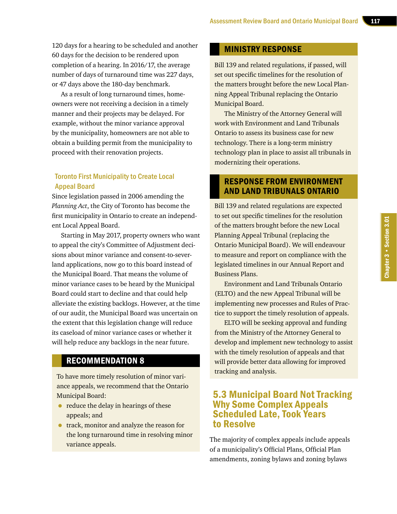120 days for a hearing to be scheduled and another 60 days for the decision to be rendered upon completion of a hearing. In 2016/17, the average number of days of turnaround time was 227 days, or 47 days above the 180-day benchmark.

As a result of long turnaround times, homeowners were not receiving a decision in a timely manner and their projects may be delayed. For example, without the minor variance approval by the municipality, homeowners are not able to obtain a building permit from the municipality to proceed with their renovation projects.

#### Toronto First Municipality to Create Local Appeal Board

Since legislation passed in 2006 amending the *Planning Act*, the City of Toronto has become the first municipality in Ontario to create an independent Local Appeal Board.

Starting in May 2017, property owners who want to appeal the city's Committee of Adjustment decisions about minor variance and consent-to-severland applications, now go to this board instead of the Municipal Board. That means the volume of minor variance cases to be heard by the Municipal Board could start to decline and that could help alleviate the existing backlogs. However, at the time of our audit, the Municipal Board was uncertain on the extent that this legislation change will reduce its caseload of minor variance cases or whether it will help reduce any backlogs in the near future.

## RECOMMENDATION 8

To have more timely resolution of minor variance appeals, we recommend that the Ontario Municipal Board:

- reduce the delay in hearings of these appeals; and
- track, monitor and analyze the reason for the long turnaround time in resolving minor variance appeals.

#### MINISTRY RESPONSE

Bill 139 and related regulations, if passed, will set out specific timelines for the resolution of the matters brought before the new Local Planning Appeal Tribunal replacing the Ontario Municipal Board.

The Ministry of the Attorney General will work with Environment and Land Tribunals Ontario to assess its business case for new technology. There is a long-term ministry technology plan in place to assist all tribunals in modernizing their operations.

## RESPONSE FROM ENVIRONMENT AND LAND TRIBUNALS ONTARIO

Bill 139 and related regulations are expected to set out specific timelines for the resolution of the matters brought before the new Local Planning Appeal Tribunal (replacing the Ontario Municipal Board). We will endeavour to measure and report on compliance with the legislated timelines in our Annual Report and Business Plans.

Environment and Land Tribunals Ontario (ELTO) and the new Appeal Tribunal will be implementing new processes and Rules of Practice to support the timely resolution of appeals.

ELTO will be seeking approval and funding from the Ministry of the Attorney General to develop and implement new technology to assist with the timely resolution of appeals and that will provide better data allowing for improved tracking and analysis.

## 5.3 Municipal Board Not Tracking Why Some Complex Appeals Scheduled Late, Took Years to Resolve

The majority of complex appeals include appeals of a municipality's Official Plans, Official Plan amendments, zoning bylaws and zoning bylaws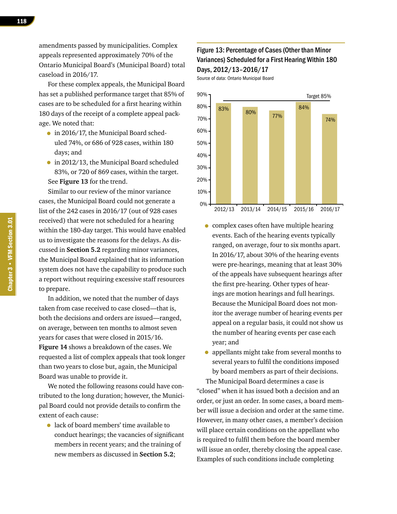amendments passed by municipalities. Complex appeals represented approximately 70% of the Ontario Municipal Board's (Municipal Board) total caseload in 2016/17.

For these complex appeals, the Municipal Board has set a published performance target that 85% of cases are to be scheduled for a first hearing within 180 days of the receipt of a complete appeal package. We noted that:

- in 2016/17, the Municipal Board scheduled 74%, or 686 of 928 cases, within 180 days; and
- in 2012/13, the Municipal Board scheduled 83%, or 720 of 869 cases, within the target. See **Figure 13** for the trend.

Similar to our review of the minor variance cases, the Municipal Board could not generate a list of the 242 cases in 2016/17 (out of 928 cases received) that were not scheduled for a hearing within the 180-day target. This would have enabled us to investigate the reasons for the delays. As discussed in **Section 5.2** regarding minor variances, the Municipal Board explained that its information system does not have the capability to produce such a report without requiring excessive staff resources to prepare.

In addition, we noted that the number of days taken from case received to case closed—that is, both the decisions and orders are issued—ranged, on average, between ten months to almost seven years for cases that were closed in 2015/16. **Figure 14** shows a breakdown of the cases. We requested a list of complex appeals that took longer than two years to close but, again, the Municipal Board was unable to provide it.

We noted the following reasons could have contributed to the long duration; however, the Municipal Board could not provide details to confirm the extent of each cause:

• lack of board members' time available to conduct hearings; the vacancies of significant members in recent years; and the training of new members as discussed in **Section 5.2**;

#### Figure 13: Percentage of Cases (Other than Minor Variances) Scheduled for a First Hearing Within 180 Days, 2012/13–2016/17

Source of data: Ontario Municipal Board



- complex cases often have multiple hearing events. Each of the hearing events typically ranged, on average, four to six months apart. In 2016/17, about 30% of the hearing events were pre-hearings, meaning that at least 30% of the appeals have subsequent hearings after the first pre-hearing. Other types of hearings are motion hearings and full hearings. Because the Municipal Board does not monitor the average number of hearing events per appeal on a regular basis, it could not show us the number of hearing events per case each year; and
- appellants might take from several months to several years to fulfil the conditions imposed by board members as part of their decisions.

The Municipal Board determines a case is "closed" when it has issued both a decision and an order, or just an order. In some cases, a board member will issue a decision and order at the same time. However, in many other cases, a member's decision will place certain conditions on the appellant who is required to fulfil them before the board member will issue an order, thereby closing the appeal case. Examples of such conditions include completing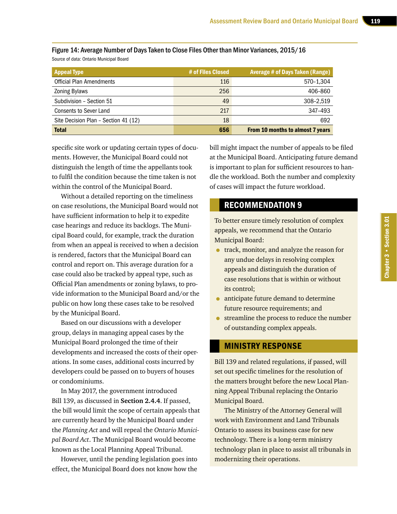| <b>Appeal Type</b>                   | # of Files Closed | <b>Average # of Days Taken (Range)</b>  |
|--------------------------------------|-------------------|-----------------------------------------|
| <b>Official Plan Amendments</b>      | 116               | 570-1,304                               |
| <b>Zoning Bylaws</b>                 | 256               | 406-860                                 |
| Subdivision - Section 51             | 49                | 308-2.519                               |
| <b>Consents to Sever Land</b>        | 217               | 347-493                                 |
| Site Decision Plan - Section 41 (12) | 18                | 692                                     |
| <b>Total</b>                         | 656               | <b>From 10 months to almost 7 years</b> |

Figure 14: Average Number of Days Taken to Close Files Other than Minor Variances, 2015/16 Source of data: Ontario Municipal Board

specific site work or updating certain types of documents. However, the Municipal Board could not distinguish the length of time the appellants took to fulfil the condition because the time taken is not within the control of the Municipal Board.

Without a detailed reporting on the timeliness on case resolutions, the Municipal Board would not have sufficient information to help it to expedite case hearings and reduce its backlogs. The Municipal Board could, for example, track the duration from when an appeal is received to when a decision is rendered, factors that the Municipal Board can control and report on. This average duration for a case could also be tracked by appeal type, such as Official Plan amendments or zoning bylaws, to provide information to the Municipal Board and/or the public on how long these cases take to be resolved by the Municipal Board.

Based on our discussions with a developer group, delays in managing appeal cases by the Municipal Board prolonged the time of their developments and increased the costs of their operations. In some cases, additional costs incurred by developers could be passed on to buyers of houses or condominiums.

In May 2017, the government introduced Bill 139, as discussed in **Section 2.4.4**. If passed, the bill would limit the scope of certain appeals that are currently heard by the Municipal Board under the *Planning Act* and will repeal the *Ontario Municipal Board Act*. The Municipal Board would become known as the Local Planning Appeal Tribunal.

However, until the pending legislation goes into effect, the Municipal Board does not know how the

bill might impact the number of appeals to be filed at the Municipal Board. Anticipating future demand is important to plan for sufficient resources to handle the workload. Both the number and complexity of cases will impact the future workload.

# RECOMMENDATION 9

To better ensure timely resolution of complex appeals, we recommend that the Ontario Municipal Board:

- track, monitor, and analyze the reason for any undue delays in resolving complex appeals and distinguish the duration of case resolutions that is within or without its control;
- anticipate future demand to determine future resource requirements; and
- **•** streamline the process to reduce the number of outstanding complex appeals.

#### MINISTRY RESPONSE

Bill 139 and related regulations, if passed, will set out specific timelines for the resolution of the matters brought before the new Local Planning Appeal Tribunal replacing the Ontario Municipal Board.

The Ministry of the Attorney General will work with Environment and Land Tribunals Ontario to assess its business case for new technology. There is a long-term ministry technology plan in place to assist all tribunals in modernizing their operations.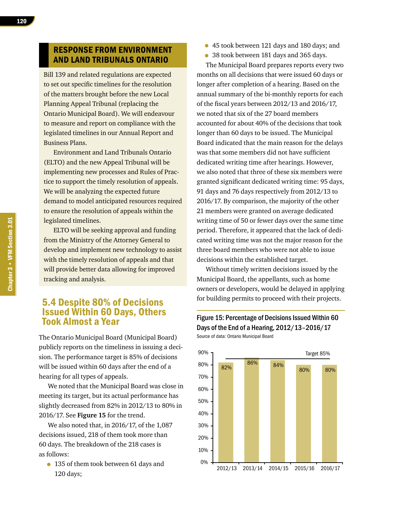#### RESPONSE FROM ENVIRONMENT AND LAND TRIBUNALS ONTARIO

Bill 139 and related regulations are expected to set out specific timelines for the resolution of the matters brought before the new Local Planning Appeal Tribunal (replacing the Ontario Municipal Board). We will endeavour to measure and report on compliance with the legislated timelines in our Annual Report and Business Plans.

Environment and Land Tribunals Ontario (ELTO) and the new Appeal Tribunal will be implementing new processes and Rules of Practice to support the timely resolution of appeals. We will be analyzing the expected future demand to model anticipated resources required to ensure the resolution of appeals within the legislated timelines.

ELTO will be seeking approval and funding from the Ministry of the Attorney General to develop and implement new technology to assist with the timely resolution of appeals and that will provide better data allowing for improved tracking and analysis.

# 5.4 Despite 80% of Decisions Issued Within 60 Days, Others Took Almost a Year

The Ontario Municipal Board (Municipal Board) publicly reports on the timeliness in issuing a decision. The performance target is 85% of decisions will be issued within 60 days after the end of a hearing for all types of appeals.

We noted that the Municipal Board was close in meeting its target, but its actual performance has slightly decreased from 82% in 2012/13 to 80% in 2016/17. See **Figure 15** for the trend.

We also noted that, in 2016/17, of the 1,087 decisions issued, 218 of them took more than 60 days. The breakdown of the 218 cases is as follows:

• 135 of them took between 61 days and 120 days;

- 45 took between 121 days and 180 days; and
- 38 took between 181 days and 365 days.

The Municipal Board prepares reports every two months on all decisions that were issued 60 days or longer after completion of a hearing. Based on the annual summary of the bi-monthly reports for each of the fiscal years between 2012/13 and 2016/17, we noted that six of the 27 board members accounted for about 40% of the decisions that took longer than 60 days to be issued. The Municipal Board indicated that the main reason for the delays was that some members did not have sufficient dedicated writing time after hearings. However, we also noted that three of these six members were granted significant dedicated writing time: 95 days, 91 days and 76 days respectively from 2012/13 to 2016/17. By comparison, the majority of the other 21 members were granted on average dedicated writing time of 50 or fewer days over the same time period. Therefore, it appeared that the lack of dedicated writing time was not the major reason for the three board members who were not able to issue decisions within the established target.

Without timely written decisions issued by the Municipal Board, the appellants, such as home owners or developers, would be delayed in applying for building permits to proceed with their projects.



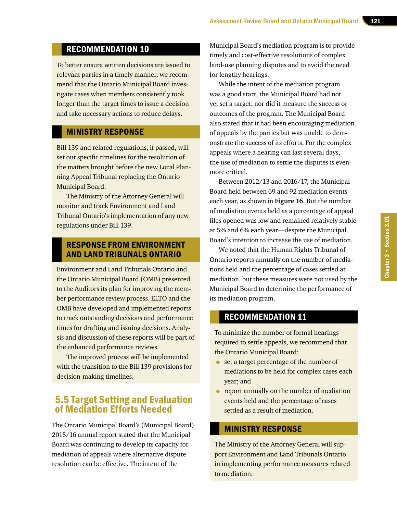# Chapter 3 . Section 3.01 Chapter 3 • Section 3.01

#### Assessment Review Board and Ontario Municipal Board

# RECOMMENDATION 10

To better ensure written decisions are issued to relevant parties in a timely manner, we recommend that the Ontario Municipal Board investigate cases when members consistently took longer than the target times to issue a decision and take necessary actions to reduce delays.

#### MINISTRY RESPONSE

Bill 139 and related regulations, if passed, will set out specific timelines for the resolution of the matters brought before the new Local Planning Appeal Tribunal replacing the Ontario Municipal Board.

The Ministry of the Attorney General will monitor and track Environment and Land Tribunal Ontario's implementation of any new regulations under Bill 139.

#### RESPONSE FROM ENVIRONMENT AND LAND TRIBUNALS ONTARIO

Environment and Land Tribunals Ontario and the Ontario Municipal Board (OMB) presented to the Auditors its plan for improving the member performance review process. ELTO and the OMB have developed and implemented reports to track outstanding decisions and performance times for drafting and issuing decisions. Analysis and discussion of these reports will be part of the enhanced performance reviews.

The improved process will be implemented with the transition to the Bill 139 provisions for decision-making timelines.

# 5.5 Target Setting and Evaluation of Mediation Efforts Needed

The Ontario Municipal Board's (Municipal Board) 2015/16 annual report stated that the Municipal Board was continuing to develop its capacity for mediation of appeals where alternative dispute resolution can be effective. The intent of the

Municipal Board's mediation program is to provide timely and cost-effective resolutions of complex land-use planning disputes and to avoid the need for lengthy hearings.

While the intent of the mediation program was a good start, the Municipal Board had not yet set a target, nor did it measure the success or outcomes of the program. The Municipal Board also stated that it had been encouraging mediation of appeals by the parties but was unable to demonstrate the success of its efforts. For the complex appeals where a hearing can last several days, the use of mediation to settle the disputes is even more critical.

Between 2012/13 and 2016/17, the Municipal Board held between 69 and 92 mediation events each year, as shown in **Figure 16**. But the number of mediation events held as a percentage of appeal files opened was low and remained relatively stable at 5% and 6% each year—despite the Municipal Board's intention to increase the use of mediation.

We noted that the Human Rights Tribunal of Ontario reports annually on the number of mediations held and the percentage of cases settled at mediation, but these measures were not used by the Municipal Board to determine the performance of its mediation program.

#### RECOMMENDATION 11

To minimize the number of formal hearings required to settle appeals, we recommend that the Ontario Municipal Board:

- set a target percentage of the number of mediations to be held for complex cases each year; and
- **•** report annually on the number of mediation events held and the percentage of cases settled as a result of mediation.

#### MINISTRY RESPONSE

The Ministry of the Attorney General will support Environment and Land Tribunals Ontario in implementing performance measures related to mediation.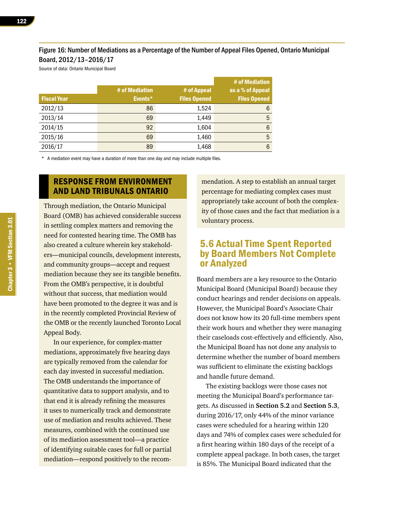#### Figure 16: Number of Mediations as a Percentage of the Number of Appeal Files Opened, Ontario Municipal Board, 2012/13–2016/17

Source of data: Ontario Municipal Board

|                    | # of Mediation | # of Appeal         | # of Mediation<br>as a % of Appeal |
|--------------------|----------------|---------------------|------------------------------------|
| <b>Fiscal Year</b> | Events*        | <b>Files Opened</b> | <b>Files Opened</b>                |
| 2012/13            | 86             | 1,524               | 6                                  |
| 2013/14            | 69             | 1,449               | 5                                  |
| 2014/15            | 92             | 1,604               | 6                                  |
| 2015/16            | 69             | 1,460               | 5                                  |
| 2016/17            | 89             | 1,468               | $6\phantom{1}6$                    |

\* A mediation event may have a duration of more than one day and may include multiple files.

### RESPONSE FROM ENVIRONMENT AND LAND TRIBUNALS ONTARIO

Through mediation, the Ontario Municipal Board (OMB) has achieved considerable success in settling complex matters and removing the need for contested hearing time. The OMB has also created a culture wherein key stakeholders—municipal councils, development interests, and community groups—accept and request mediation because they see its tangible benefits. From the OMB's perspective, it is doubtful without that success, that mediation would have been promoted to the degree it was and is in the recently completed Provincial Review of the OMB or the recently launched Toronto Local Appeal Body.

In our experience, for complex-matter mediations, approximately five hearing days are typically removed from the calendar for each day invested in successful mediation. The OMB understands the importance of quantitative data to support analysis, and to that end it is already refining the measures it uses to numerically track and demonstrate use of mediation and results achieved. These measures, combined with the continued use of its mediation assessment tool—a practice of identifying suitable cases for full or partial mediation—respond positively to the recom-

mendation. A step to establish an annual target percentage for mediating complex cases must appropriately take account of both the complexity of those cases and the fact that mediation is a voluntary process.

# 5.6 Actual Time Spent Reported by Board Members Not Complete or Analyzed

Board members are a key resource to the Ontario Municipal Board (Municipal Board) because they conduct hearings and render decisions on appeals. However, the Municipal Board's Associate Chair does not know how its 20 full-time members spent their work hours and whether they were managing their caseloads cost-effectively and efficiently. Also, the Municipal Board has not done any analysis to determine whether the number of board members was sufficient to eliminate the existing backlogs and handle future demand.

The existing backlogs were those cases not meeting the Municipal Board's performance targets. As discussed in **Section 5.2** and **Section 5.3**, during 2016/17, only 44% of the minor variance cases were scheduled for a hearing within 120 days and 74% of complex cases were scheduled for a first hearing within 180 days of the receipt of a complete appeal package. In both cases, the target is 85%. The Municipal Board indicated that the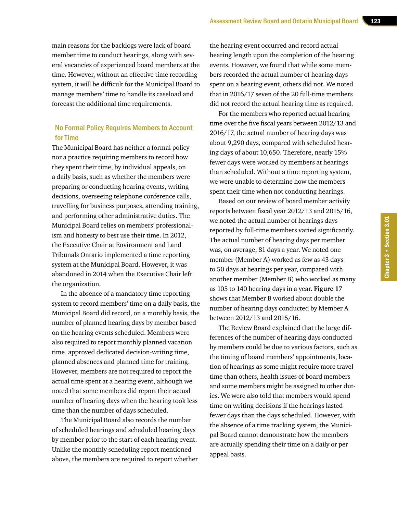main reasons for the backlogs were lack of board member time to conduct hearings, along with several vacancies of experienced board members at the time. However, without an effective time recording system, it will be difficult for the Municipal Board to manage members' time to handle its caseload and forecast the additional time requirements.

#### No Formal Policy Requires Members to Account for Time

The Municipal Board has neither a formal policy nor a practice requiring members to record how they spent their time, by individual appeals, on a daily basis, such as whether the members were preparing or conducting hearing events, writing decisions, overseeing telephone conference calls, travelling for business purposes, attending training, and performing other administrative duties. The Municipal Board relies on members' professionalism and honesty to best use their time. In 2012, the Executive Chair at Environment and Land Tribunals Ontario implemented a time reporting system at the Municipal Board. However, it was abandoned in 2014 when the Executive Chair left the organization.

In the absence of a mandatory time reporting system to record members' time on a daily basis, the Municipal Board did record, on a monthly basis, the number of planned hearing days by member based on the hearing events scheduled. Members were also required to report monthly planned vacation time, approved dedicated decision-writing time, planned absences and planned time for training. However, members are not required to report the actual time spent at a hearing event, although we noted that some members did report their actual number of hearing days when the hearing took less time than the number of days scheduled.

The Municipal Board also records the number of scheduled hearings and scheduled hearing days by member prior to the start of each hearing event. Unlike the monthly scheduling report mentioned above, the members are required to report whether

the hearing event occurred and record actual hearing length upon the completion of the hearing events. However, we found that while some members recorded the actual number of hearing days spent on a hearing event, others did not. We noted that in 2016/17 seven of the 20 full-time members did not record the actual hearing time as required.

For the members who reported actual hearing time over the five fiscal years between 2012/13 and 2016/17, the actual number of hearing days was about 9,290 days, compared with scheduled hearing days of about 10,650. Therefore, nearly 15% fewer days were worked by members at hearings than scheduled. Without a time reporting system, we were unable to determine how the members spent their time when not conducting hearings.

Based on our review of board member activity reports between fiscal year 2012/13 and 2015/16, we noted the actual number of hearings days reported by full-time members varied significantly. The actual number of hearing days per member was, on average, 81 days a year. We noted one member (Member A) worked as few as 43 days to 50 days at hearings per year, compared with another member (Member B) who worked as many as 105 to 140 hearing days in a year. **Figure 17**  shows that Member B worked about double the number of hearing days conducted by Member A between 2012/13 and 2015/16.

The Review Board explained that the large differences of the number of hearing days conducted by members could be due to various factors, such as the timing of board members' appointments, location of hearings as some might require more travel time than others, health issues of board members and some members might be assigned to other duties. We were also told that members would spend time on writing decisions if the hearings lasted fewer days than the days scheduled. However, with the absence of a time tracking system, the Municipal Board cannot demonstrate how the members are actually spending their time on a daily or per appeal basis.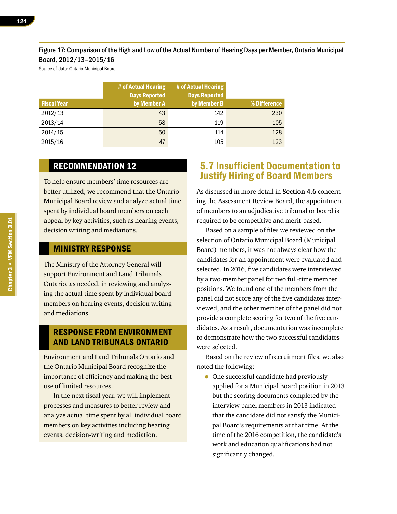#### Figure 17: Comparison of the High and Low of the Actual Number of Hearing Days per Member, Ontario Municipal Board, 2012/13–2015/16

Source of data: Ontario Municipal Board

|                    | # of Actual Hearing<br><b>Days Reported</b> | # of Actual Hearing<br><b>Days Reported</b> |              |
|--------------------|---------------------------------------------|---------------------------------------------|--------------|
| <b>Fiscal Year</b> | by Member A                                 | by Member B                                 | % Difference |
| 2012/13            | 43                                          | 142                                         | 230          |
| 2013/14            | 58                                          | 119                                         | 105          |
| 2014/15            | 50                                          | 114                                         | 128          |
| 2015/16            | 47                                          | 105                                         | 123          |

## RECOMMENDATION 12

To help ensure members' time resources are better utilized, we recommend that the Ontario Municipal Board review and analyze actual time spent by individual board members on each appeal by key activities, such as hearing events, decision writing and mediations.

#### MINISTRY RESPONSE

The Ministry of the Attorney General will support Environment and Land Tribunals Ontario, as needed, in reviewing and analyzing the actual time spent by individual board members on hearing events, decision writing and mediations.

#### RESPONSE FROM ENVIRONMENT AND LAND TRIBUNALS ONTARIO

Environment and Land Tribunals Ontario and the Ontario Municipal Board recognize the importance of efficiency and making the best use of limited resources.

In the next fiscal year, we will implement processes and measures to better review and analyze actual time spent by all individual board members on key activities including hearing events, decision-writing and mediation.

# 5.7 Insufficient Documentation to Justify Hiring of Board Members

As discussed in more detail in **Section 4.6** concerning the Assessment Review Board, the appointment of members to an adjudicative tribunal or board is required to be competitive and merit-based.

Based on a sample of files we reviewed on the selection of Ontario Municipal Board (Municipal Board) members, it was not always clear how the candidates for an appointment were evaluated and selected. In 2016, five candidates were interviewed by a two-member panel for two full-time member positions. We found one of the members from the panel did not score any of the five candidates interviewed, and the other member of the panel did not provide a complete scoring for two of the five candidates. As a result, documentation was incomplete to demonstrate how the two successful candidates were selected.

Based on the review of recruitment files, we also noted the following:

• One successful candidate had previously applied for a Municipal Board position in 2013 but the scoring documents completed by the interview panel members in 2013 indicated that the candidate did not satisfy the Municipal Board's requirements at that time. At the time of the 2016 competition, the candidate's work and education qualifications had not significantly changed.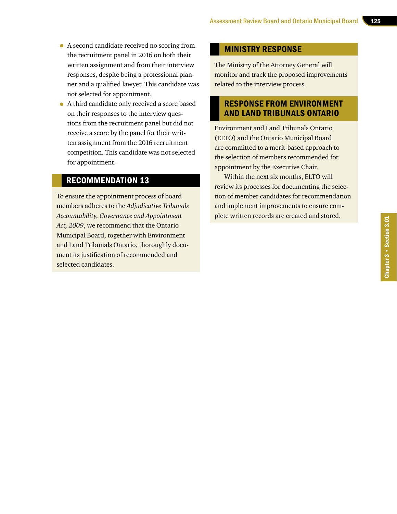- A second candidate received no scoring from the recruitment panel in 2016 on both their written assignment and from their interview responses, despite being a professional planner and a qualified lawyer. This candidate was not selected for appointment.
- A third candidate only received a score based on their responses to the interview questions from the recruitment panel but did not receive a score by the panel for their written assignment from the 2016 recruitment competition. This candidate was not selected for appointment.

### RECOMMENDATION 13

To ensure the appointment process of board members adheres to the *Adjudicative Tribunals Accountability, Governance and Appointment Act, 2009*, we recommend that the Ontario Municipal Board, together with Environment and Land Tribunals Ontario, thoroughly document its justification of recommended and selected candidates.

#### MINISTRY RESPONSE

The Ministry of the Attorney General will monitor and track the proposed improvements related to the interview process.

## RESPONSE FROM ENVIRONMENT AND LAND TRIBUNALS ONTARIO

Environment and Land Tribunals Ontario (ELTO) and the Ontario Municipal Board are committed to a merit-based approach to the selection of members recommended for appointment by the Executive Chair.

Within the next six months, ELTO will review its processes for documenting the selection of member candidates for recommendation and implement improvements to ensure complete written records are created and stored.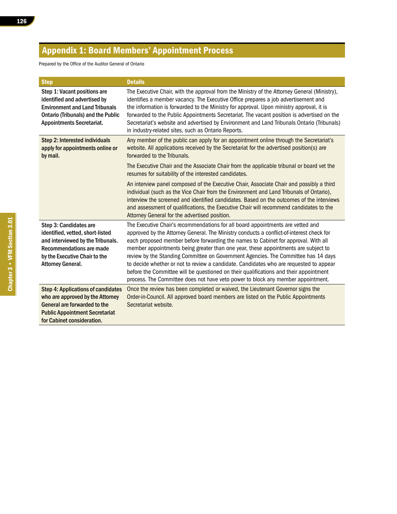# Appendix 1: Board Members' Appointment Process

Prepared by the Office of the Auditor General of Ontario

| <b>Step</b>                                                                                                                                                                              | <b>Details</b>                                                                                                                                                                                                                                                                                                                                                                                                                                                                                                                                                                                                                                                                                                       |
|------------------------------------------------------------------------------------------------------------------------------------------------------------------------------------------|----------------------------------------------------------------------------------------------------------------------------------------------------------------------------------------------------------------------------------------------------------------------------------------------------------------------------------------------------------------------------------------------------------------------------------------------------------------------------------------------------------------------------------------------------------------------------------------------------------------------------------------------------------------------------------------------------------------------|
| Step 1: Vacant positions are<br>identified and advertised by<br><b>Environment and Land Tribunals</b><br><b>Ontario (Tribunals) and the Public</b><br><b>Appointments Secretariat.</b>   | The Executive Chair, with the approval from the Ministry of the Attorney General (Ministry),<br>identifies a member vacancy. The Executive Office prepares a job advertisement and<br>the information is forwarded to the Ministry for approval. Upon ministry approval, it is<br>forwarded to the Public Appointments Secretariat. The vacant position is advertised on the<br>Secretariat's website and advertised by Environment and Land Tribunals Ontario (Tribunals)<br>in industry-related sites, such as Ontario Reports.                                                                                                                                                                                    |
| Step 2: Interested individuals<br>apply for appointments online or<br>by mail.                                                                                                           | Any member of the public can apply for an appointment online through the Secretariat's<br>website. All applications received by the Secretariat for the advertised position(s) are<br>forwarded to the Tribunals.                                                                                                                                                                                                                                                                                                                                                                                                                                                                                                    |
|                                                                                                                                                                                          | The Executive Chair and the Associate Chair from the applicable tribunal or board vet the<br>resumes for suitability of the interested candidates.                                                                                                                                                                                                                                                                                                                                                                                                                                                                                                                                                                   |
|                                                                                                                                                                                          | An interview panel composed of the Executive Chair, Associate Chair and possibly a third<br>individual (such as the Vice Chair from the Environment and Land Tribunals of Ontario),<br>interview the screened and identified candidates. Based on the outcomes of the interviews<br>and assessment of qualifications, the Executive Chair will recommend candidates to the<br>Attorney General for the advertised position.                                                                                                                                                                                                                                                                                          |
| Step 3: Candidates are<br>identified, vetted, short-listed<br>and interviewed by the Tribunals.<br>Recommendations are made<br>by the Executive Chair to the<br><b>Attorney General.</b> | The Executive Chair's recommendations for all board appointments are vetted and<br>approved by the Attorney General. The Ministry conducts a conflict-of-interest check for<br>each proposed member before forwarding the names to Cabinet for approval. With all<br>member appointments being greater than one year, these appointments are subject to<br>review by the Standing Committee on Government Agencies. The Committee has 14 days<br>to decide whether or not to review a candidate. Candidates who are requested to appear<br>before the Committee will be questioned on their qualifications and their appointment<br>process. The Committee does not have veto power to block any member appointment. |
| <b>Step 4: Applications of candidates</b><br>who are approved by the Attorney<br>General are forwarded to the<br><b>Public Appointment Secretariat</b><br>for Cabinet consideration.     | Once the review has been completed or waived, the Lieutenant Governor signs the<br>Order-in-Council. All approved board members are listed on the Public Appointments<br>Secretariat website.                                                                                                                                                                                                                                                                                                                                                                                                                                                                                                                        |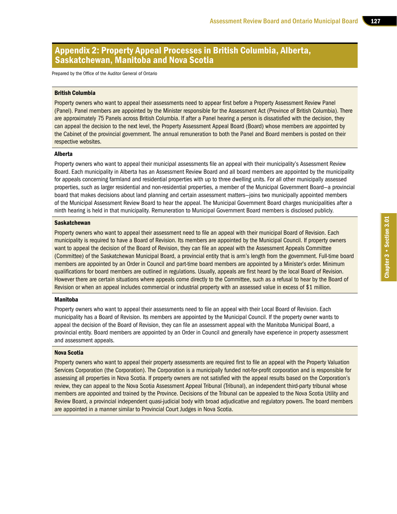## Appendix 2: Property Appeal Processes in British Columbia, Alberta, Saskatchewan, Manitoba and Nova Scotia

Prepared by the Office of the Auditor General of Ontario

#### British Columbia

Property owners who want to appeal their assessments need to appear first before a Property Assessment Review Panel (Panel). Panel members are appointed by the Minister responsible for the Assessment Act (Province of British Columbia). There are approximately 75 Panels across British Columbia. If after a Panel hearing a person is dissatisfied with the decision, they can appeal the decision to the next level, the Property Assessment Appeal Board (Board) whose members are appointed by the Cabinet of the provincial government. The annual remuneration to both the Panel and Board members is posted on their respective websites.

#### Alberta

Property owners who want to appeal their municipal assessments file an appeal with their municipality's Assessment Review Board. Each municipality in Alberta has an Assessment Review Board and all board members are appointed by the municipality for appeals concerning farmland and residential properties with up to three dwelling units. For all other municipally assessed properties, such as larger residential and non-residential properties, a member of the Municipal Government Board—a provincial board that makes decisions about land planning and certain assessment matters—joins two municipally appointed members of the Municipal Assessment Review Board to hear the appeal. The Municipal Government Board charges municipalities after a ninth hearing is held in that municipality. Remuneration to Municipal Government Board members is disclosed publicly.

#### Saskatchewan

Property owners who want to appeal their assessment need to file an appeal with their municipal Board of Revision. Each municipality is required to have a Board of Revision. Its members are appointed by the Municipal Council. If property owners want to appeal the decision of the Board of Revision, they can file an appeal with the Assessment Appeals Committee (Committee) of the Saskatchewan Municipal Board, a provincial entity that is arm's length from the government. Full-time board members are appointed by an Order in Council and part-time board members are appointed by a Minister's order. Minimum qualifications for board members are outlined in regulations. Usually, appeals are first heard by the local Board of Revision. However there are certain situations where appeals come directly to the Committee, such as a refusal to hear by the Board of Revision or when an appeal includes commercial or industrial property with an assessed value in excess of \$1 million.

#### Manitoba

Property owners who want to appeal their assessments need to file an appeal with their Local Board of Revision. Each municipality has a Board of Revision. Its members are appointed by the Municipal Council. If the property owner wants to appeal the decision of the Board of Revision, they can file an assessment appeal with the Manitoba Municipal Board, a provincial entity. Board members are appointed by an Order in Council and generally have experience in property assessment and assessment appeals.

#### Nova Scotia

Property owners who want to appeal their property assessments are required first to file an appeal with the Property Valuation Services Corporation (the Corporation). The Corporation is a municipally funded not-for-profit corporation and is responsible for assessing all properties in Nova Scotia. If property owners are not satisfied with the appeal results based on the Corporation's review, they can appeal to the Nova Scotia Assessment Appeal Tribunal (Tribunal), an independent third-party tribunal whose members are appointed and trained by the Province. Decisions of the Tribunal can be appealed to the Nova Scotia Utility and Review Board, a provincial independent quasi-judicial body with broad adjudicative and regulatory powers. The board members are appointed in a manner similar to Provincial Court Judges in Nova Scotia.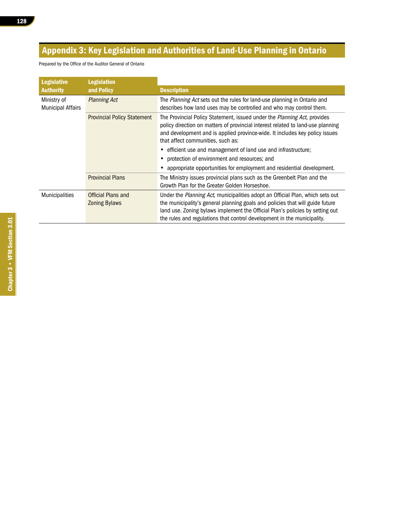# Appendix 3: Key Legislation and Authorities of Land-Use Planning in Ontario

Prepared by the Office of the Auditor General of Ontario

| <b>Legislative</b>                      | <b>Legislation</b>                         |                                                                                                                                                                                                                                                                                                                                                 |
|-----------------------------------------|--------------------------------------------|-------------------------------------------------------------------------------------------------------------------------------------------------------------------------------------------------------------------------------------------------------------------------------------------------------------------------------------------------|
| <b>Authority</b>                        | and Policy                                 | <b>Description</b>                                                                                                                                                                                                                                                                                                                              |
| Ministry of<br><b>Municipal Affairs</b> | <b>Planning Act</b>                        | The Planning Act sets out the rules for land-use planning in Ontario and<br>describes how land uses may be controlled and who may control them.                                                                                                                                                                                                 |
|                                         | <b>Provincial Policy Statement</b>         | The Provincial Policy Statement, issued under the Planning Act, provides<br>policy direction on matters of provincial interest related to land-use planning<br>and development and is applied province-wide. It includes key policy issues<br>that affect communities, such as:<br>efficient use and management of land use and infrastructure; |
|                                         |                                            | protection of environment and resources; and                                                                                                                                                                                                                                                                                                    |
|                                         |                                            | appropriate opportunities for employment and residential development.                                                                                                                                                                                                                                                                           |
|                                         | <b>Provincial Plans</b>                    | The Ministry issues provincial plans such as the Greenbelt Plan and the<br>Growth Plan for the Greater Golden Horseshoe.                                                                                                                                                                                                                        |
| Municipalities                          | Official Plans and<br><b>Zoning Bylaws</b> | Under the Planning Act, municipalities adopt an Official Plan, which sets out<br>the municipality's general planning goals and policies that will guide future<br>land use. Zoning bylaws implement the Official Plan's policies by setting out<br>the rules and regulations that control development in the municipality.                      |